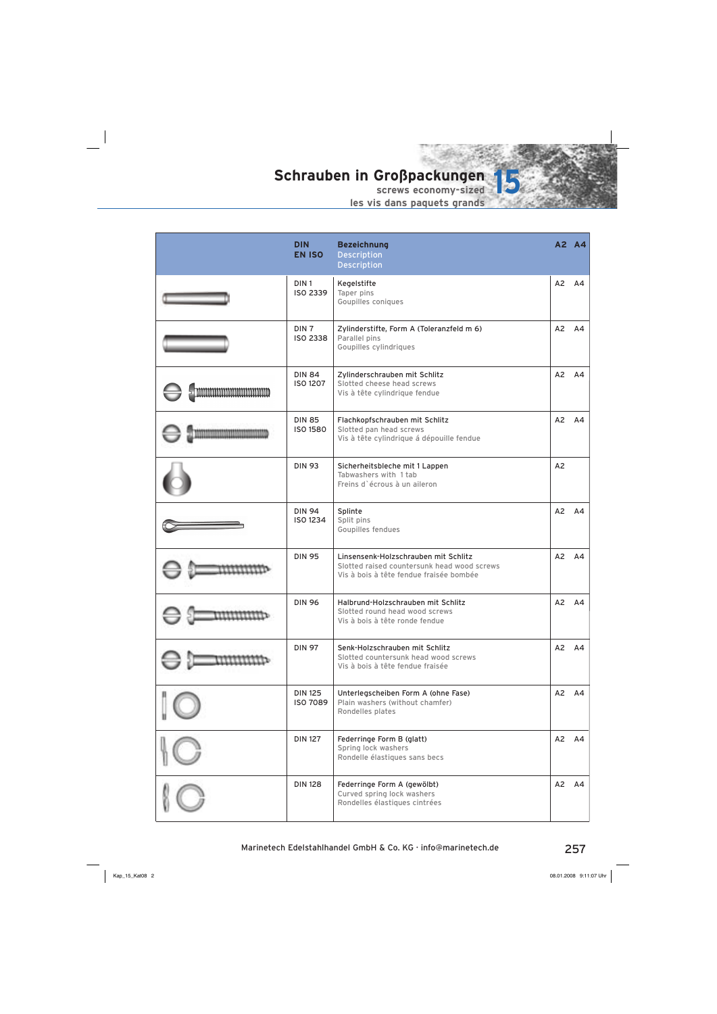

|                           | <b>DIN</b><br><b>EN ISO</b>         | <b>Bezeichnung</b><br><b>Description</b><br><b>Description</b>                                                                 |    | A2 A4 |
|---------------------------|-------------------------------------|--------------------------------------------------------------------------------------------------------------------------------|----|-------|
|                           | DIN <sub>1</sub><br>ISO 2339        | Kegelstifte<br>Taper pins<br>Goupilles coniques                                                                                | A2 | A4    |
|                           | DIN <sub>7</sub><br><b>ISO 2338</b> | Zylinderstifte, Form A (Toleranzfeld m 6)<br>Parallel pins<br>Goupilles cylindriques                                           | A2 | A4    |
| <u>nnnnnnnnnnnnnnnnnn</u> | <b>DIN 84</b><br><b>ISO 1207</b>    | Zylinderschrauben mit Schlitz<br>Slotted cheese head screws<br>Vis à tête cylindrique fendue                                   | A2 | A4    |
|                           | <b>DIN 85</b><br><b>ISO 1580</b>    | Flachkopfschrauben mit Schlitz<br>Slotted pan head screws<br>Vis à tête cylindrique á dépouille fendue                         | A2 | A4    |
|                           | <b>DIN 93</b>                       | Sicherheitsbleche mit 1 Lappen<br>Tabwashers with 1 tab<br>Freins d'écrous à un aileron                                        | A2 |       |
|                           | <b>DIN 94</b><br>ISO 1234           | Splinte<br>Split pins<br>Goupilles fendues                                                                                     | A2 | A4    |
|                           | <b>DIN 95</b>                       | Linsensenk-Holzschrauben mit Schlitz<br>Slotted raised countersunk head wood screws<br>Vis à bois à tête fendue fraisée bombée | A2 | A4    |
|                           | <b>DIN 96</b>                       | Halbrund-Holzschrauben mit Schlitz<br>Slotted round head wood screws<br>Vis à bois à tête ronde fendue                         | A2 | A4    |
|                           | <b>DIN 97</b>                       | Senk-Holzschrauben mit Schlitz<br>Slotted countersunk head wood screws<br>Vis à bois à tête fendue fraisée                     | A2 | AA    |
|                           | <b>DIN 125</b><br><b>ISO 7089</b>   | Unterlegscheiben Form A (ohne Fase)<br>Plain washers (without chamfer)<br>Rondelles plates                                     |    | A2 A4 |
|                           | <b>DIN 127</b>                      | Federringe Form B (glatt)<br>Spring lock washers<br>Rondelle élastiques sans becs                                              | A2 | A4    |
|                           | <b>DIN 128</b>                      | Federringe Form A (gewölbt)<br>Curved spring lock washers<br>Rondelles élastiques cintrées                                     | A2 | A4    |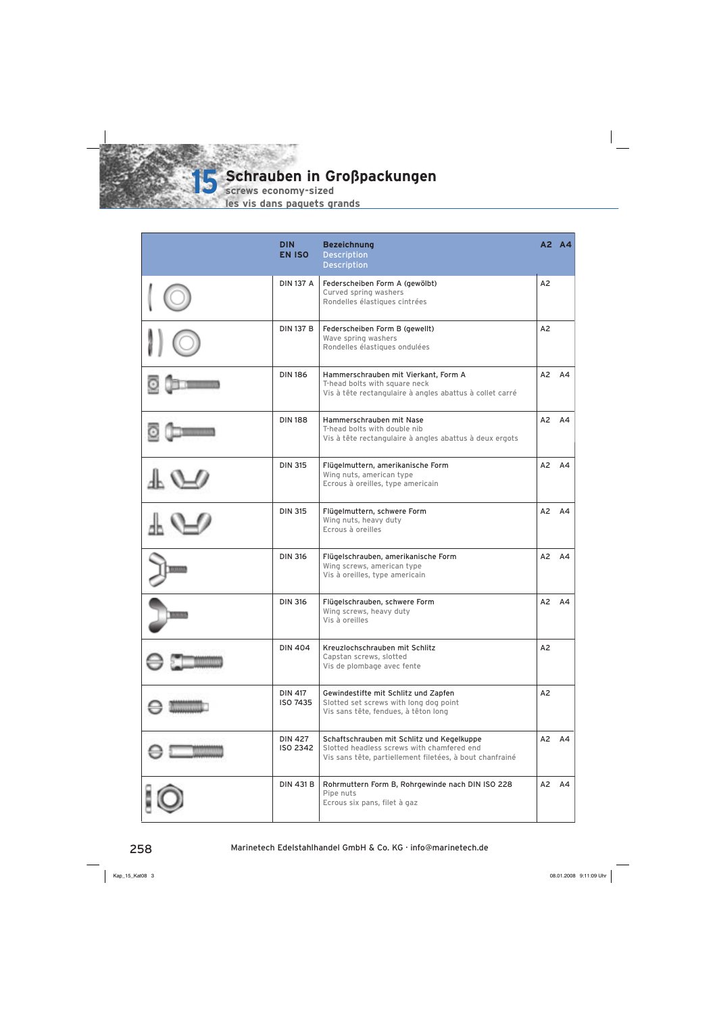

**screws economy-sized**

| <b>DIN</b><br><b>EN ISO</b> | <b>Bezeichnung</b><br><b>Description</b><br><b>Description</b>                                                                                       |                | A2 A4              |
|-----------------------------|------------------------------------------------------------------------------------------------------------------------------------------------------|----------------|--------------------|
| <b>DIN 137 A</b>            | Federscheiben Form A (gewölbt)<br>Curved spring washers<br>Rondelles élastiques cintrées                                                             | A <sub>2</sub> |                    |
| <b>DIN 137 B</b>            | Federscheiben Form B (gewellt)<br>Wave spring washers<br>Rondelles élastiques ondulées                                                               | A2             |                    |
| <b>DIN 186</b>              | Hammerschrauben mit Vierkant, Form A<br>T-head bolts with square neck<br>Vis à tête rectangulaire à angles abattus à collet carré                    |                | A2 A4              |
| <b>DIN 188</b>              | Hammerschrauben mit Nase<br>T-head bolts with double nib<br>Vis à tête rectangulaire à angles abattus à deux ergots                                  | A2             | A4                 |
| <b>DIN 315</b>              | Flügelmuttern, amerikanische Form<br>Wing nuts, american type<br>Ecrous à oreilles, type americain                                                   |                | A2 A4              |
| <b>DIN 315</b>              | Flügelmuttern, schwere Form<br>Wing nuts, heavy duty<br>Ecrous à oreilles                                                                            | A2             | A4                 |
| <b>DIN 316</b>              | Flügelschrauben, amerikanische Form<br>Wing screws, american type<br>Vis à oreilles, type americain                                                  | A2             | A4                 |
| <b>DIN 316</b>              | Flügelschrauben, schwere Form<br>Wing screws, heavy duty<br>Vis à oreilles                                                                           | A2             | A4                 |
| <b>DIN 404</b>              | Kreuzlochschrauben mit Schlitz<br>Capstan screws, slotted<br>Vis de plombage avec fente                                                              | A <sub>2</sub> |                    |
| <b>DIN 417</b><br>ISO 7435  | Gewindestifte mit Schlitz und Zapfen<br>Slotted set screws with long dog point<br>Vis sans tête, fendues, à têton long                               | A <sub>2</sub> |                    |
| <b>DIN 427</b><br>ISO 2342  | Schaftschrauben mit Schlitz und Kegelkuppe<br>Slotted headless screws with chamfered end<br>Vis sans tête, partiellement filetées, à bout chanfrainé |                | $A2 \overline{A4}$ |
| <b>DIN 431 B</b>            | Rohrmuttern Form B, Rohrgewinde nach DIN ISO 228<br>Pipe nuts<br>Ecrous six pans, filet à gaz                                                        |                | A2 A4              |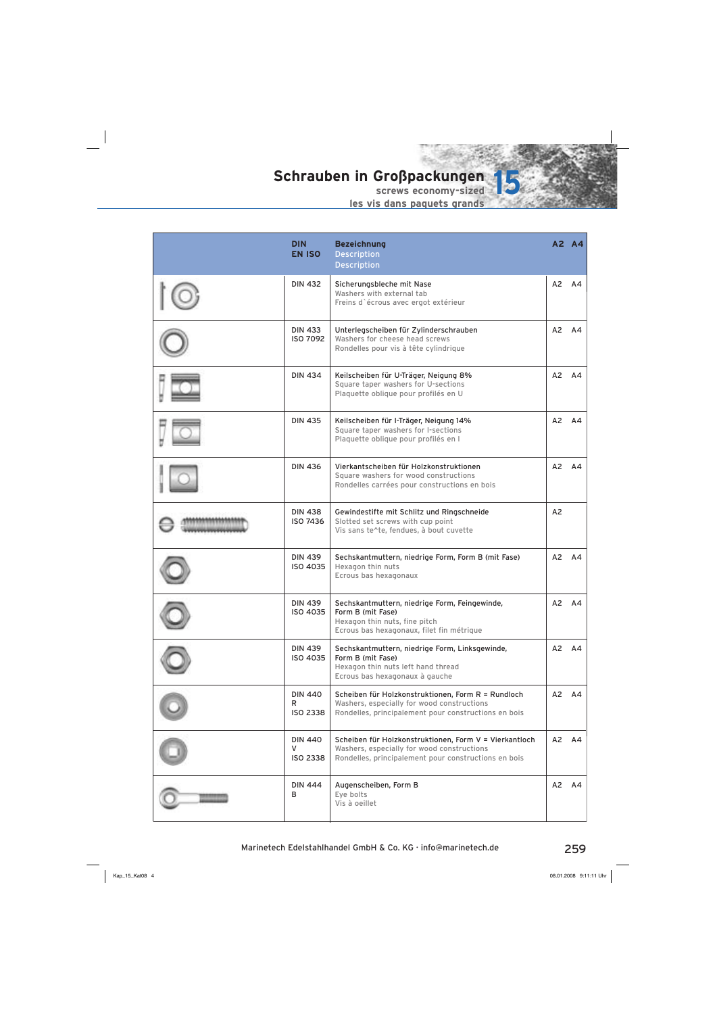

| <b>DIN</b><br><b>EN ISO</b>            | <b>Bezeichnung</b><br><b>Description</b><br><b>Description</b>                                                                                               |                | A2 A4              |
|----------------------------------------|--------------------------------------------------------------------------------------------------------------------------------------------------------------|----------------|--------------------|
| <b>DIN 432</b>                         | Sicherungsbleche mit Nase<br>Washers with external tab<br>Freins d'écrous avec ergot extérieur                                                               | A2             | A4                 |
| <b>DIN 433</b><br>ISO 7092             | Unterlegscheiben für Zylinderschrauben<br>Washers for cheese head screws<br>Rondelles pour vis à tête cylindrique                                            | A2             | A4                 |
| <b>DIN 434</b>                         | Keilscheiben für U-Träger, Neigung 8%<br>Square taper washers for U-sections<br>Plaquette oblique pour profilés en U                                         | A2             | A4                 |
| <b>DIN 435</b>                         | Keilscheiben für I-Träger, Neigung 14%<br>Square taper washers for I-sections<br>Plaquette oblique pour profilés en l                                        | A2             | A4                 |
| <b>DIN 436</b>                         | Vierkantscheiben für Holzkonstruktionen<br>Square washers for wood constructions<br>Rondelles carrées pour constructions en bois                             | A2             | A4                 |
| <b>DIN 438</b><br>ISO 7436             | Gewindestifte mit Schlitz und Ringschneide<br>Slotted set screws with cup point<br>Vis sans te^te, fendues, à bout cuvette                                   | A2             |                    |
| <b>DIN 439</b><br>ISO 4035             | Sechskantmuttern, niedrige Form, Form B (mit Fase)<br>Hexagon thin nuts<br>Ecrous bas hexagonaux                                                             |                | A2 A4              |
| DIN 439<br>ISO 4035                    | Sechskantmuttern, niedrige Form, Feingewinde,<br>Form B (mit Fase)<br>Hexagon thin nuts, fine pitch<br>Ecrous bas hexagonaux, filet fin métrique             | A2             | A4                 |
| <b>DIN 439</b><br>ISO 4035             | Sechskantmuttern, niedrige Form, Linksgewinde,<br>Form B (mit Fase)<br>Hexagon thin nuts left hand thread<br>Ecrous bas hexagonaux à gauche                  | A <sub>2</sub> | AA                 |
| <b>DIN 440</b><br>R<br><b>ISO 2338</b> | Scheiben für Holzkonstruktionen, Form R = Rundloch<br>Washers, especially for wood constructions<br>Rondelles, principalement pour constructions en bois     |                | $A2 \overline{A4}$ |
| <b>DIN 440</b><br>v<br><b>ISO 2338</b> | Scheiben für Holzkonstruktionen, Form V = Vierkantloch<br>Washers, especially for wood constructions<br>Rondelles, principalement pour constructions en bois | A2             | A4                 |
| <b>DIN 444</b><br>в                    | Augenscheiben, Form B<br>Eye bolts<br>Vis à oeillet                                                                                                          |                | $A2 \overline{A4}$ |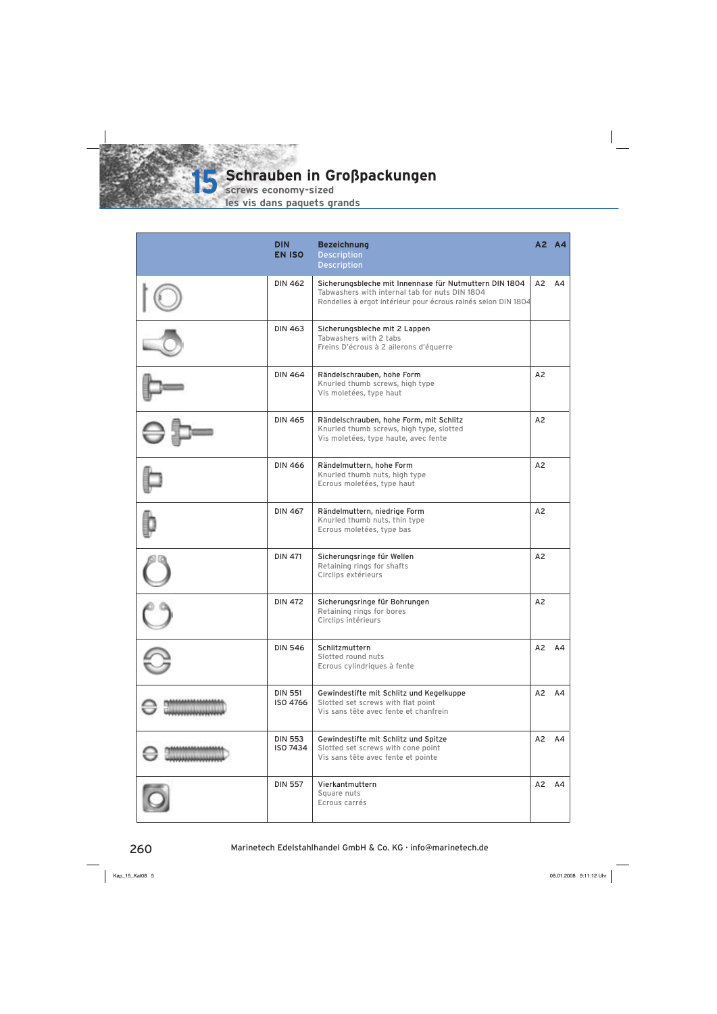

**Schrauben in Großpackungen is Schrauben in G**<br> **screws economy-sized** 

| <b>DIN</b><br><b>EN ISO</b>       | <b>Bezeichnung</b><br><b>Description</b><br><b>Description</b>                                                                                                            |                | A2 A4 |
|-----------------------------------|---------------------------------------------------------------------------------------------------------------------------------------------------------------------------|----------------|-------|
| <b>DIN 462</b>                    | Sicherungsbleche mit Innennase für Nutmuttern DIN 1804<br>Tabwashers with internal tab for nuts DIN 1804<br>Rondelles à ergot intérieur pour écrous rainés selon DIN 1804 | A <sub>2</sub> | A4    |
| <b>DIN 463</b>                    | Sicherungsbleche mit 2 Lappen<br>Tabwashers with 2 tabs<br>Freins D'écrous à 2 ailerons d'équerre                                                                         |                |       |
| <b>DIN 464</b>                    | Rändelschrauben, hohe Form<br>Knurled thumb screws, high type<br>Vis moletées, type haut                                                                                  | A2             |       |
| <b>DIN 465</b>                    | Rändelschrauben, hohe Form, mit Schlitz<br>Knurled thumb screws, high type, slotted<br>Vis moletées, type haute, avec fente                                               | A2             |       |
| <b>DIN 466</b>                    | Rändelmuttern, hohe Form<br>Knurled thumb nuts, high type<br>Ecrous moletées, type haut                                                                                   | A <sub>2</sub> |       |
| <b>DIN 467</b>                    | Rändelmuttern, niedrige Form<br>Knurled thumb nuts, thin type<br>Ecrous moletées, type bas                                                                                | A <sub>2</sub> |       |
| <b>DIN 471</b>                    | Sicherungsringe für Wellen<br>Retaining rings for shafts<br>Circlips extérieurs                                                                                           | A <sub>2</sub> |       |
| <b>DIN 472</b>                    | Sicherungsringe für Bohrungen<br>Retaining rings for bores<br>Circlips intérieurs                                                                                         | A <sub>2</sub> |       |
| <b>DIN 546</b>                    | Schlitzmuttern<br>Slotted round nuts<br>Ecrous cylindriques à fente                                                                                                       |                | A2 A4 |
| <b>DIN 551</b><br><b>ISO 4766</b> | Gewindestifte mit Schlitz und Kegelkuppe<br>Slotted set screws with flat point<br>Vis sans tête avec fente et chanfrein                                                   |                | A2 A4 |
| <b>DIN 553</b><br>ISO 7434        | Gewindestifte mit Schlitz und Spitze<br>Slotted set screws with cone point<br>Vis sans tête avec fente et pointe                                                          |                | A2 A4 |
| <b>DIN 557</b>                    | Vierkantmuttern<br>Square nuts<br>Ecrous carrés                                                                                                                           | A2             | A4    |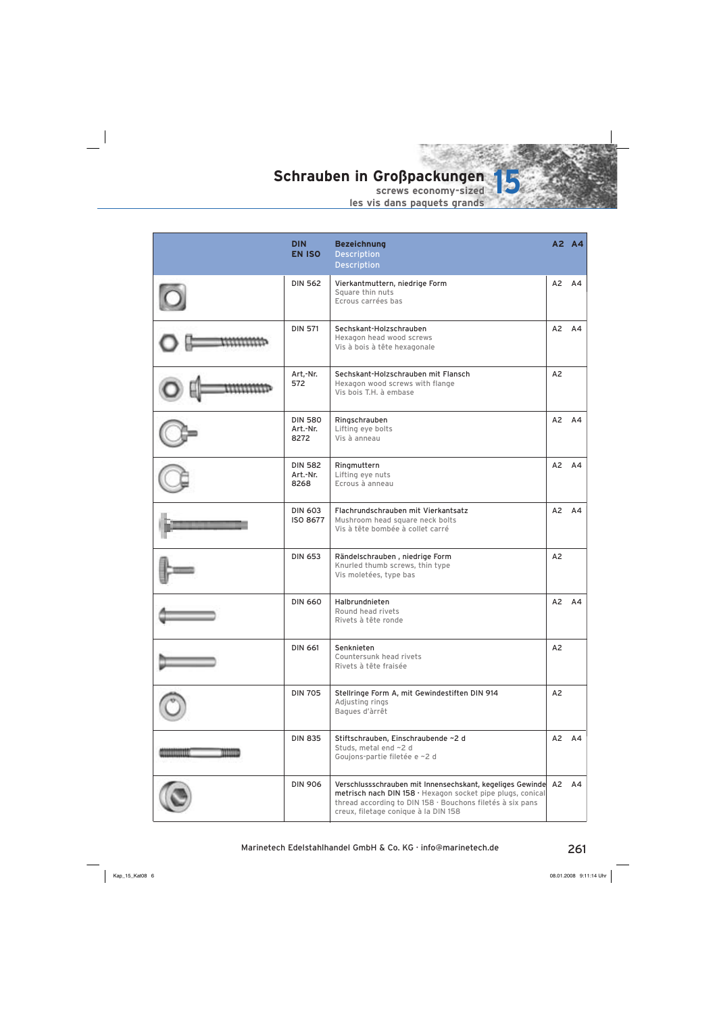

|            | <b>DIN</b><br><b>EN ISO</b>        | <b>Bezeichnung</b><br><b>Description</b><br><b>Description</b>                                                                                                                                                                     |                | A2 A4          |
|------------|------------------------------------|------------------------------------------------------------------------------------------------------------------------------------------------------------------------------------------------------------------------------------|----------------|----------------|
|            | <b>DIN 562</b>                     | Vierkantmuttern, niedrige Form<br>Square thin nuts<br>Ecrous carrées bas                                                                                                                                                           | A2             | A4             |
|            | <b>DIN 571</b>                     | Sechskant-Holzschrauben<br>Hexagon head wood screws<br>Vis à bois à tête hexagonale                                                                                                                                                | A2             | A4             |
|            | Art,-Nr.<br>572                    | Sechskant-Holzschrauben mit Flansch<br>Hexagon wood screws with flange<br>Vis bois T.H. à embase                                                                                                                                   | A2             |                |
|            | <b>DIN 580</b><br>Art.-Nr.<br>8272 | Ringschrauben<br>Lifting eye bolts<br>Vis à anneau                                                                                                                                                                                 | A2             | AA             |
|            | <b>DIN 582</b><br>Art.-Nr.<br>8268 | Ringmuttern<br>Lifting eye nuts<br>Ecrous à anneau                                                                                                                                                                                 | A2             | AA             |
|            | <b>DIN 603</b><br>ISO 8677         | Flachrundschrauben mit Vierkantsatz<br>Mushroom head square neck bolts<br>Vis à tête bombée à collet carré                                                                                                                         | A2             | A4             |
|            | <b>DIN 653</b>                     | Rändelschrauben, niedrige Form<br>Knurled thumb screws, thin type<br>Vis moletées, type bas                                                                                                                                        | A2             |                |
|            | <b>DIN 660</b>                     | Halbrundnieten<br>Round head rivets<br>Rivets à tête ronde                                                                                                                                                                         | A <sub>2</sub> | A <sub>4</sub> |
|            | <b>DIN 661</b>                     | Senknieten<br>Countersunk head rivets<br>Rivets à tête fraisée                                                                                                                                                                     | A2             |                |
|            | <b>DIN 705</b>                     | Stellringe Form A, mit Gewindestiften DIN 914<br>Adjusting rings<br>Bagues d'àrrêt                                                                                                                                                 | A2             |                |
| ,,,,,,,,,, | <b>DIN 835</b>                     | Stiftschrauben, Einschraubende ~2 d<br>Studs, metal end ~2 d<br>Goujons-partie filetée e ~2 d                                                                                                                                      | A2             | A4             |
|            | <b>DIN 906</b>                     | Verschlussschrauben mit Innensechskant, kegeliges Gewinde A2 A4<br>metrisch nach DIN 158 · Hexagon socket pipe plugs, conical<br>thread according to DIN 158 · Bouchons filetés à six pans<br>creux, filetage conique à la DIN 158 |                |                |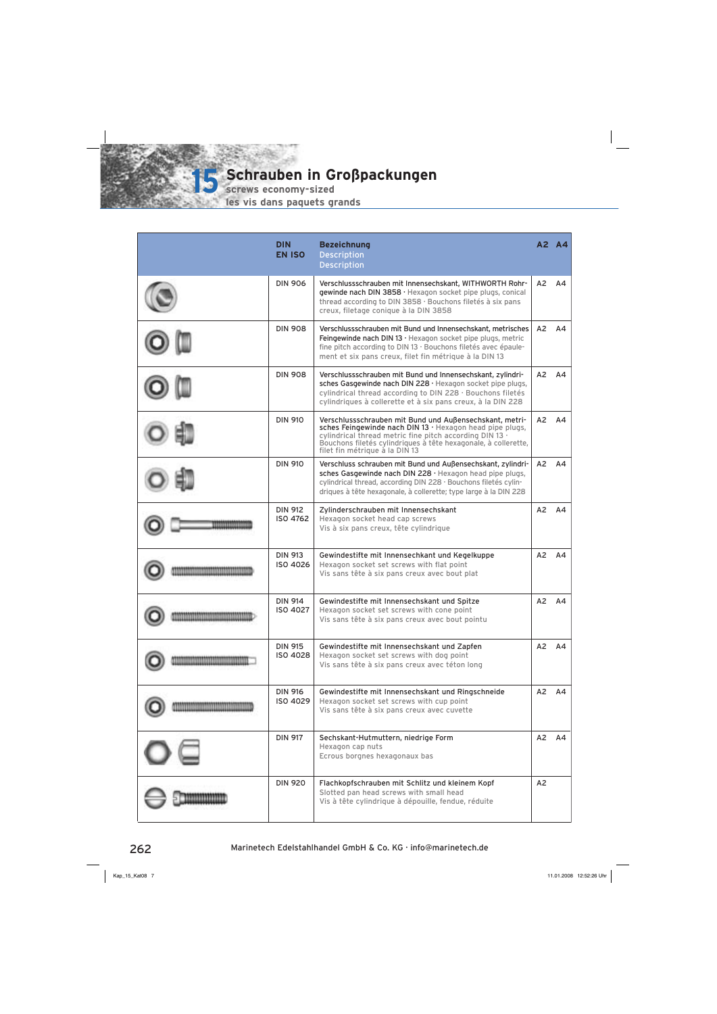**screws economy-sized**

**15**

|                               | <b>DIN</b><br><b>EN ISO</b>       | <b>Bezeichnung</b><br><b>Description</b><br><b>Description</b>                                                                                                                                                                                                                     |                | A2 A4              |
|-------------------------------|-----------------------------------|------------------------------------------------------------------------------------------------------------------------------------------------------------------------------------------------------------------------------------------------------------------------------------|----------------|--------------------|
|                               | <b>DIN 906</b>                    | Verschlussschrauben mit Innensechskant, WITHWORTH Rohr-<br>gewinde nach DIN 3858 · Hexagon socket pipe plugs, conical<br>thread according to DIN 3858 · Bouchons filetés à six pans<br>creux, filetage conique à la DIN 3858                                                       | A2             | A4                 |
|                               | <b>DIN 908</b>                    | Verschlussschrauben mit Bund und Innensechskant, metrisches<br>Feingewinde nach DIN 13 · Hexagon socket pipe plugs, metric<br>fine pitch according to DIN 13 · Bouchons filetés avec épaule-<br>ment et six pans creux, filet fin métrique à la DIN 13                             | А2             | A4                 |
|                               | <b>DIN 908</b>                    | Verschlussschrauben mit Bund und Innensechskant, zylindri-<br>sches Gasgewinde nach DIN 228 · Hexagon socket pipe plugs,<br>cylindrical thread according to DIN 228 · Bouchons filetés<br>cylindriques à collerette et à six pans creux, à la DIN 228                              | A2             | A4                 |
|                               | <b>DIN 910</b>                    | Verschlussschrauben mit Bund und Außensechskant, metri-<br>sches Feingewinde nach DIN 13 · Hexagon head pipe plugs,<br>cylindrical thread metric fine pitch according DIN 13 .<br>Bouchons filetés cylindriques à tête hexagonale, à collerette,<br>filet fin métrique à la DIN 13 | A <sub>2</sub> | A4                 |
|                               | <b>DIN 910</b>                    | Verschluss schrauben mit Bund und Außensechskant, zylindri-<br>sches Gasgewinde nach DIN 228 · Hexagon head pipe plugs,<br>cylindrical thread, according DIN 228 · Bouchons filetés cylin-<br>driques à tête hexagonale, à collerette; type large à la DIN 228                     | A2             | A4                 |
|                               | <b>DIN 912</b><br>ISO 4762        | Zylinderschrauben mit Innensechskant<br>Hexagon socket head cap screws<br>Vis à six pans creux, tête cylindrique                                                                                                                                                                   | A2             | A4                 |
|                               | <b>DIN 913</b><br>ISO 4026        | Gewindestifte mit Innensechkant und Kegelkuppe<br>Hexagon socket set screws with flat point<br>Vis sans tête à six pans creux avec bout plat                                                                                                                                       | A2             | A4                 |
| 11100111101111011110111101111 | <b>DIN 914</b><br><b>ISO 4027</b> | Gewindestifte mit Innensechskant und Spitze<br>Hexagon socket set screws with cone point<br>Vis sans tête à six pans creux avec bout pointu                                                                                                                                        | A2             | A4                 |
|                               | <b>DIN 915</b><br><b>ISO 4028</b> | Gewindestifte mit Innensechskant und Zapfen<br>Hexagon socket set screws with dog point<br>Vis sans tête à six pans creux avec téton long                                                                                                                                          |                | $A2 \overline{A4}$ |
|                               | <b>DIN 916</b><br>ISO 4029        | Gewindestifte mit Innensechskant und Ringschneide<br>Hexagon socket set screws with cup point<br>Vis sans tête à six pans creux avec cuvette                                                                                                                                       | A2             | A4                 |
|                               | <b>DIN 917</b>                    | Sechskant-Hutmuttern, niedrige Form<br>Hexagon cap nuts<br>Ecrous borgnes hexagonaux bas                                                                                                                                                                                           | A2             | A4                 |
|                               | <b>DIN 920</b>                    | Flachkopfschrauben mit Schlitz und kleinem Kopf<br>Slotted pan head screws with small head<br>Vis à tête cylindrique à dépouille, fendue, réduite                                                                                                                                  | A2             |                    |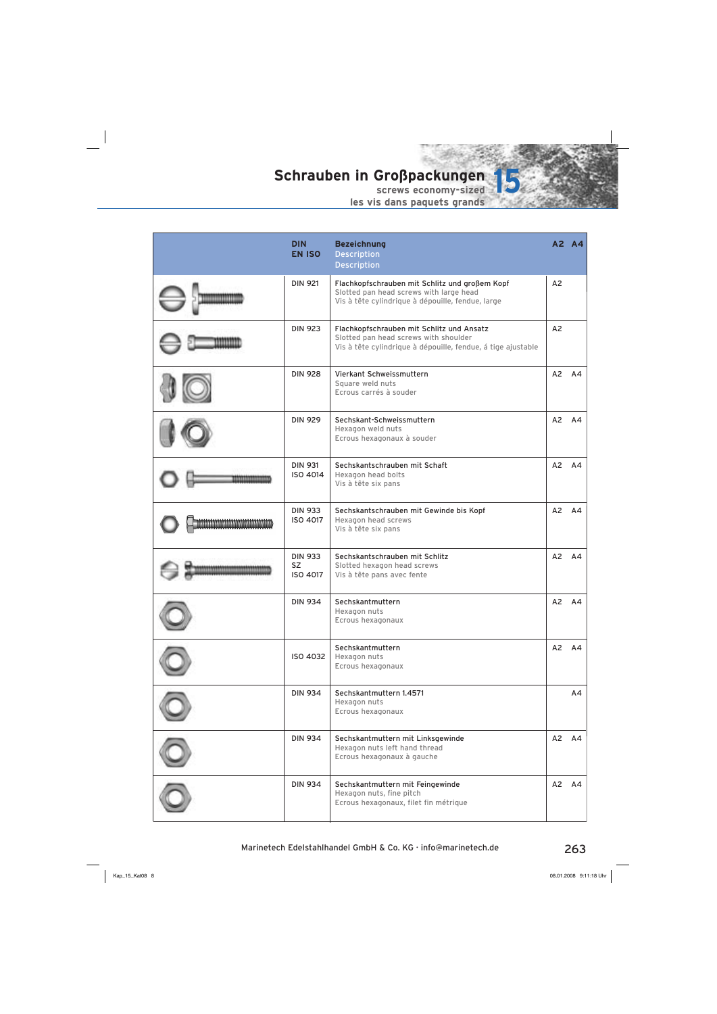

| <b>DIN</b><br><b>EN ISO</b>             | <b>Bezeichnung</b><br><b>Description</b><br><b>Description</b>                                                                                     |    | A2 A4 |
|-----------------------------------------|----------------------------------------------------------------------------------------------------------------------------------------------------|----|-------|
| <b>DIN 921</b>                          | Flachkopfschrauben mit Schlitz und großem Kopf<br>Slotted pan head screws with large head<br>Vis à tête cylindrique à dépouille, fendue, large     | A2 |       |
| <b>DIN 923</b>                          | Flachkopfschrauben mit Schlitz und Ansatz<br>Slotted pan head screws with shoulder<br>Vis à tête cylindrique à dépouille, fendue, á tige ajustable | A2 |       |
| <b>DIN 928</b>                          | Vierkant Schweissmuttern<br>Square weld nuts<br>Ecrous carrés à souder                                                                             | A2 | AA    |
| <b>DIN 929</b>                          | Sechskant-Schweissmuttern<br>Hexagon weld nuts<br>Ecrous hexagonaux à souder                                                                       | A2 | A4    |
| <b>DIN 931</b><br>ISO 4014              | Sechskantschrauben mit Schaft<br>Hexagon head bolts<br>Vis à tête six pans                                                                         | A2 | AA    |
| <b>DIN 933</b><br>ISO 4017              | Sechskantschrauben mit Gewinde bis Kopf<br>Hexagon head screws<br>Vis à tête six pans                                                              | A2 | A4    |
| <b>DIN 933</b><br><b>SZ</b><br>ISO 4017 | Sechskantschrauben mit Schlitz<br>Slotted hexagon head screws<br>Vis à tête pans avec fente                                                        | A2 | A4    |
| <b>DIN 934</b>                          | Sechskantmuttern<br>Hexagon nuts<br>Ecrous hexagonaux                                                                                              | A2 | A4    |
| ISO 4032                                | Sechskantmuttern<br>Hexagon nuts<br>Ecrous hexagonaux                                                                                              |    | A2 A4 |
| <b>DIN 934</b>                          | Sechskantmuttern 1.4571<br>Hexagon nuts<br>Ecrous hexagonaux                                                                                       |    | A4    |
| <b>DIN 934</b>                          | Sechskantmuttern mit Linksgewinde<br>Hexagon nuts left hand thread<br>Ecrous hexagonaux à gauche                                                   |    | A2 A4 |
| <b>DIN 934</b>                          | Sechskantmuttern mit Feingewinde<br>Hexagon nuts, fine pitch<br>Ecrous hexagonaux, filet fin métrique                                              | A2 | A4    |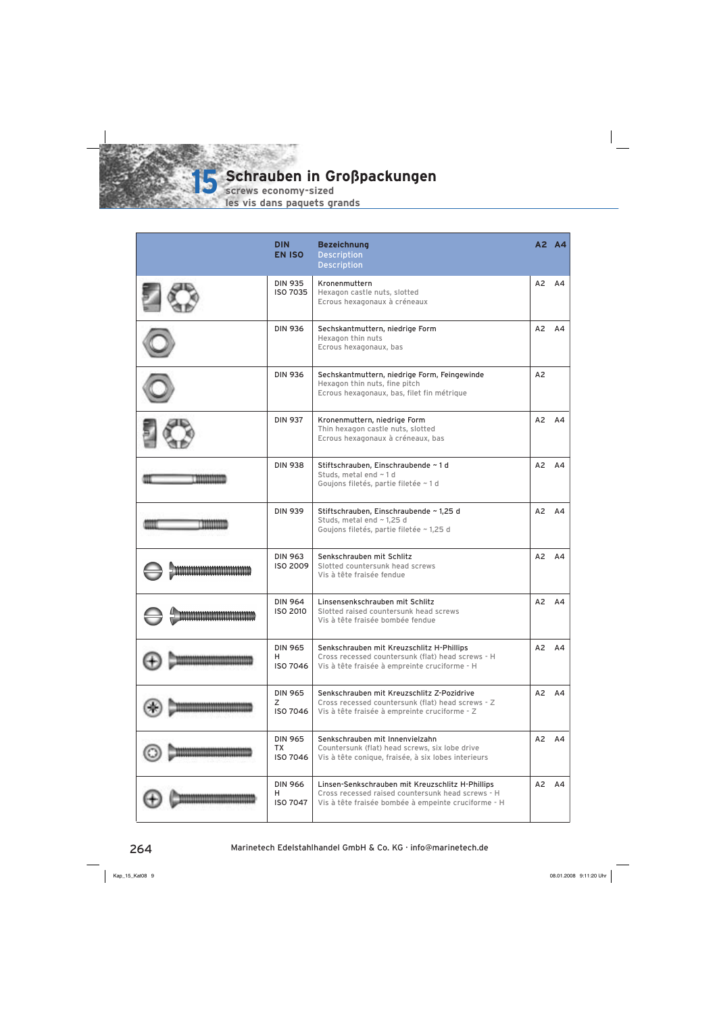

**Schrauben in Großpackungen is Schrauben in G**<br> **screws economy-sized** 

| <b>DIN</b><br><b>EN ISO</b>                    | <b>Bezeichnung</b><br><b>Description</b><br><b>Description</b>                                                                                               |    | A2 A4 |
|------------------------------------------------|--------------------------------------------------------------------------------------------------------------------------------------------------------------|----|-------|
| <b>DIN 935</b><br>ISO 7035                     | Kronenmuttern<br>Hexagon castle nuts, slotted<br>Ecrous hexagonaux à créneaux                                                                                | A2 | A4    |
| <b>DIN 936</b>                                 | Sechskantmuttern, niedrige Form<br>Hexagon thin nuts<br>Ecrous hexagonaux, bas                                                                               | A2 | A4    |
| <b>DIN 936</b>                                 | Sechskantmuttern, niedrige Form, Feingewinde<br>Hexagon thin nuts, fine pitch<br>Ecrous hexagonaux, bas, filet fin métrique                                  | A2 |       |
| <b>DIN 937</b>                                 | Kronenmuttern, niedrige Form<br>Thin hexagon castle nuts, slotted<br>Ecrous hexagonaux à créneaux, bas                                                       | A2 | A4    |
| <b>DIN 938</b>                                 | Stiftschrauben, Einschraubende ~ 1 d<br>Studs, metal end ~1d<br>Goujons filetés, partie filetée ~ 1 d                                                        | A2 | A4    |
| <b>DIN 939</b>                                 | Stiftschrauben, Einschraubende ~ 1,25 d<br>Studs, metal end ~ 1,25 d<br>Goujons filetés, partie filetée ~ 1,25 d                                             | A2 | AA    |
| <b>DIN 963</b><br><b>ISO 2009</b>              | Senkschrauben mit Schlitz<br>Slotted countersunk head screws<br>Vis à tête fraisée fendue                                                                    | A2 | AA    |
| <b>DIN 964</b><br>ISO 2010                     | Linsensenkschrauben mit Schlitz<br>Slotted raised countersunk head screws<br>Vis à tête fraisée bombée fendue                                                | A2 | A4    |
| <b>DIN 965</b><br>н<br><b>ISO 7046</b>         | Senkschrauben mit Kreuzschlitz H-Phillips<br>Cross recessed countersunk (flat) head screws - H<br>Vis à tête fraisée à empreinte cruciforme - H              | A2 | A4    |
| <b>DIN 965</b><br>Z<br><b>ISO 7046</b>         | Senkschrauben mit Kreuzschlitz Z-Pozidrive<br>Cross recessed countersunk (flat) head screws - Z<br>Vis à tête fraisée à empreinte cruciforme - Z             | A2 | AA    |
| <b>DIN 965</b><br><b>TX</b><br><b>ISO 7046</b> | Senkschrauben mit Innenvielzahn<br>Countersunk (flat) head screws, six lobe drive<br>Vis à tête conique, fraisée, à six lobes interieurs                     | A2 | A4    |
| <b>DIN 966</b><br>н.<br><b>ISO 7047</b>        | Linsen-Senkschrauben mit Kreuzschlitz H-Phillips<br>Cross recessed raised countersunk head screws - H<br>Vis à tête fraisée bombée à empeinte cruciforme - H | A2 | AA    |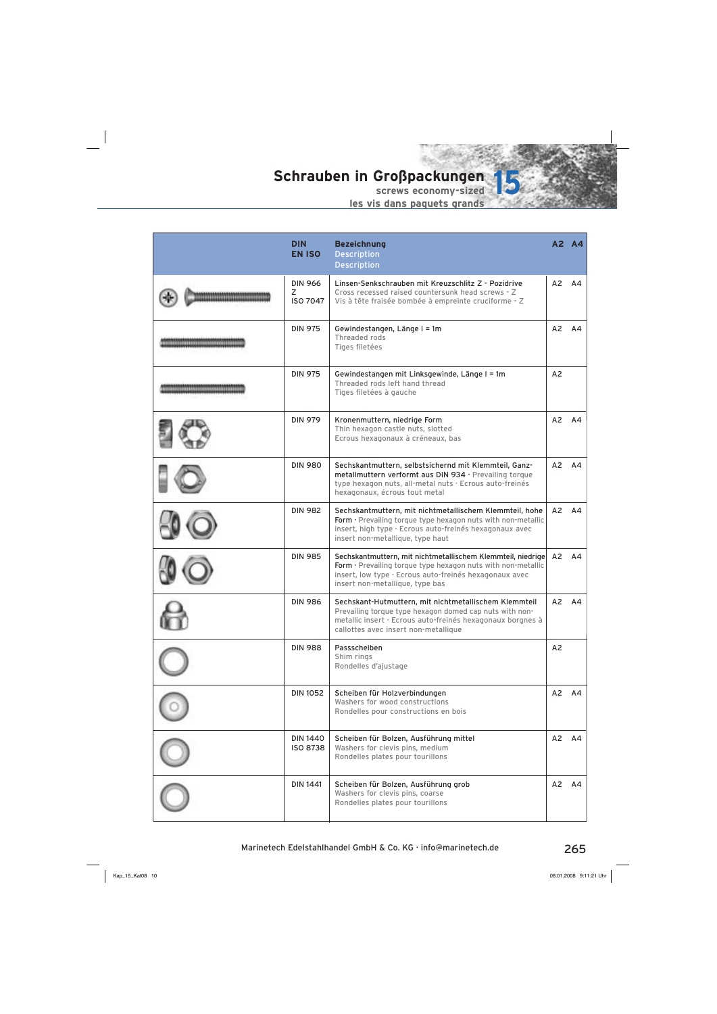

|                             | <b>DIN</b><br><b>EN ISO</b>            | <b>Bezeichnung</b><br><b>Description</b><br><b>Description</b>                                                                                                                                                           |                | A2 A4 |
|-----------------------------|----------------------------------------|--------------------------------------------------------------------------------------------------------------------------------------------------------------------------------------------------------------------------|----------------|-------|
|                             | <b>DIN 966</b><br>Z<br><b>ISO 7047</b> | Linsen-Senkschrauben mit Kreuzschlitz Z - Pozidrive<br>Cross recessed raised countersunk head screws - Z<br>Vis à tête fraisée bombée à empreinte cruciforme - Z                                                         | A2             | A4    |
| <b>EDITOR ENTERTAINMENT</b> | <b>DIN 975</b>                         | Gewindestangen, Länge I = 1m<br>Threaded rods<br>Tiges filetées                                                                                                                                                          | A2             | A4    |
|                             | <b>DIN 975</b>                         | Gewindestangen mit Linksgewinde, Länge I = 1m<br>Threaded rods left hand thread<br>Tiges filetées à gauche                                                                                                               | A <sub>2</sub> |       |
|                             | <b>DIN 979</b>                         | Kronenmuttern, niedrige Form<br>Thin hexagon castle nuts, slotted<br>Ecrous hexagonaux à créneaux, bas                                                                                                                   | A2             | A4    |
|                             | <b>DIN 980</b>                         | Sechskantmuttern, selbstsichernd mit Klemmteil, Ganz-<br>metallmuttern verformt aus DIN 934 · Prevailing torque<br>type hexagon nuts, all-metal nuts · Ecrous auto-freinés<br>hexagonaux, écrous tout metal              | A2             | AA    |
|                             | <b>DIN 982</b>                         | Sechskantmuttern, mit nichtmetallischem Klemmteil, hohe<br>Form · Prevailing torque type hexagon nuts with non-metallic<br>insert, high type · Ecrous auto-freinés hexagonaux avec<br>insert non-metallique, type haut   | A2             | A4    |
|                             | <b>DIN 985</b>                         | Sechskantmuttern, mit nichtmetallischem Klemmteil, niedrige<br>Form · Prevailing torque type hexagon nuts with non-metallic<br>insert, low type · Ecrous auto-freinés hexagonaux avec<br>insert non-metallique, type bas | A2             | AA    |
|                             | <b>DIN 986</b>                         | Sechskant-Hutmuttern, mit nichtmetallischem Klemmteil<br>Prevailing torque type hexagon domed cap nuts with non-<br>metallic insert · Ecrous auto-freinés hexagonaux borgnes à<br>callottes avec insert non-metallique   | A <sub>2</sub> | A4    |
|                             | <b>DIN 988</b>                         | Passscheiben<br>Shim rings<br>Rondelles d'ajustage                                                                                                                                                                       | A2             |       |
|                             | <b>DIN 1052</b>                        | Scheiben für Holzverbindungen<br>Washers for wood constructions<br>Rondelles pour constructions en bois                                                                                                                  |                | A2 A4 |
|                             | <b>DIN 1440</b><br>ISO 8738            | Scheiben für Bolzen, Ausführung mittel<br>Washers for clevis pins, medium<br>Rondelles plates pour tourillons                                                                                                            | A2             | A4    |
|                             | <b>DIN 1441</b>                        | Scheiben für Bolzen, Ausführung grob<br>Washers for clevis pins, coarse<br>Rondelles plates pour tourillons                                                                                                              | A2             | A4    |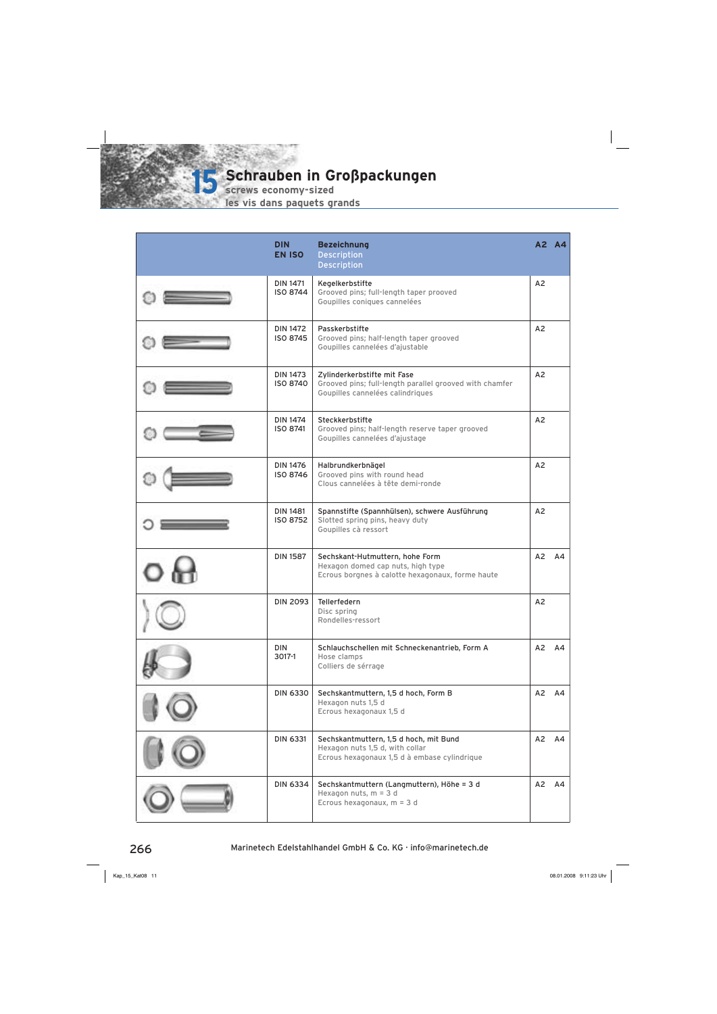

**screws economy-sized**

| <b>DIN</b><br><b>EN ISO</b>        | <b>Bezeichnung</b><br><b>Description</b><br><b>Description</b>                                                             |                | A2 A4              |
|------------------------------------|----------------------------------------------------------------------------------------------------------------------------|----------------|--------------------|
| <b>DIN 1471</b><br>ISO 8744        | Kegelkerbstifte<br>Grooved pins; full-length taper prooved<br>Goupilles coniques cannelées                                 | A <sub>2</sub> |                    |
| <b>DIN 1472</b><br><b>ISO 8745</b> | Passkerbstifte<br>Grooved pins; half-length taper grooved<br>Goupilles cannelées d'ajustable                               | A <sub>2</sub> |                    |
| <b>DIN 1473</b><br>ISO 8740        | Zylinderkerbstifte mit Fase<br>Grooved pins; full-length parallel grooved with chamfer<br>Goupilles cannelées calindriques | A2             |                    |
| <b>DIN 1474</b><br>ISO 8741        | Steckkerbstifte<br>Grooved pins; half-length reserve taper grooved<br>Goupilles cannelées d'ajustage                       | A2             |                    |
| <b>DIN 1476</b><br>ISO 8746        | Halbrundkerbnägel<br>Grooved pins with round head<br>Clous cannelées à tête demi-ronde                                     | A <sub>2</sub> |                    |
| <b>DIN 1481</b><br>ISO 8752        | Spannstifte (Spannhülsen), schwere Ausführung<br>Slotted spring pins, heavy duty<br>Goupilles cà ressort                   | A <sub>2</sub> |                    |
| <b>DIN 1587</b>                    | Sechskant-Hutmuttern, hohe Form<br>Hexagon domed cap nuts, high type<br>Ecrous borgnes à calotte hexagonaux, forme haute   | A2             | A4                 |
| <b>DIN 2093</b>                    | Tellerfedern<br>Disc spring<br>Rondelles-ressort                                                                           | A <sub>2</sub> |                    |
| <b>DIN</b><br>3017-1               | Schlauchschellen mit Schneckenantrieb, Form A<br>Hose clamps<br>Colliers de sérrage                                        |                | $A2 \overline{A4}$ |
| <b>DIN 6330</b>                    | Sechskantmuttern, 1,5 d hoch, Form B<br>Hexagon nuts 1,5 d<br>Ecrous hexagonaux 1,5 d                                      | A2             | A4                 |
| <b>DIN 6331</b>                    | Sechskantmuttern, 1,5 d hoch, mit Bund<br>Hexagon nuts 1,5 d, with collar<br>Ecrous hexagonaux 1,5 d à embase cylindrique  |                | A2 A4              |
| <b>DIN 6334</b>                    | Sechskantmuttern (Langmuttern), Höhe = 3 d<br>Hexagon nuts, $m = 3$ d<br>Ecrous hexagonaux, $m = 3$ d                      | A2             | A4                 |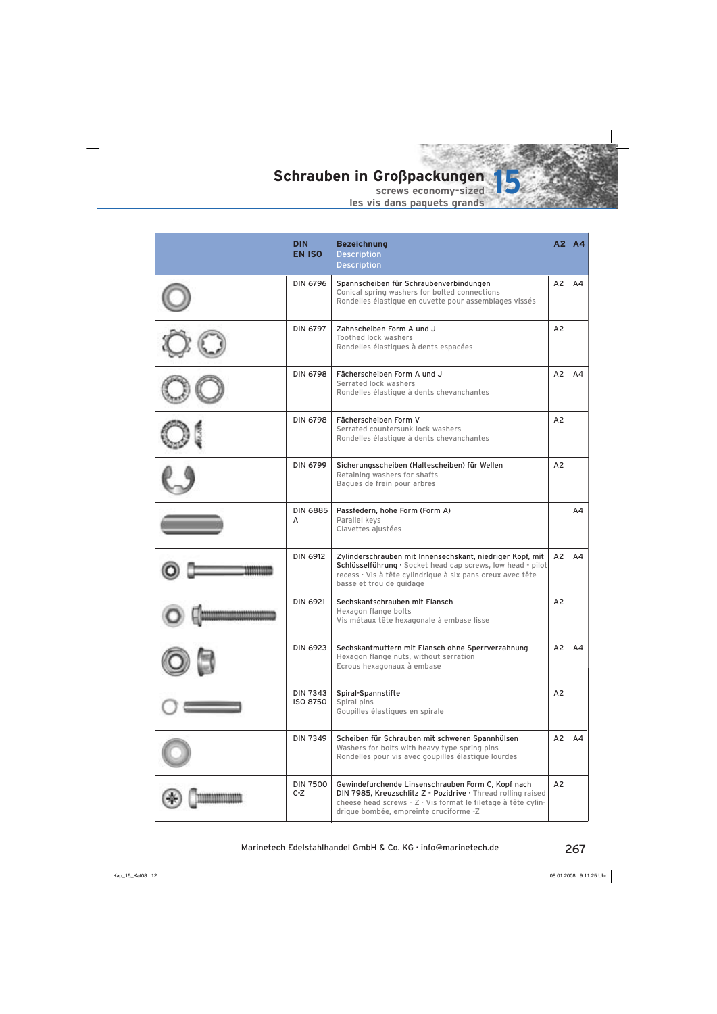

|                     | <b>DIN</b><br><b>EN ISO</b>        | <b>Bezeichnung</b><br><b>Description</b><br><b>Description</b>                                                                                                                                                                |                | A2 A4 |
|---------------------|------------------------------------|-------------------------------------------------------------------------------------------------------------------------------------------------------------------------------------------------------------------------------|----------------|-------|
|                     | <b>DIN 6796</b>                    | Spannscheiben für Schraubenverbindungen<br>Conical spring washers for bolted connections<br>Rondelles élastique en cuvette pour assemblages vissés                                                                            | A2             | A4    |
|                     | <b>DIN 6797</b>                    | Zahnscheiben Form A und J<br><b>Toothed lock washers</b><br>Rondelles élastiques à dents espacées                                                                                                                             | A <sub>2</sub> |       |
|                     | <b>DIN 6798</b>                    | Fächerscheiben Form A und J<br>Serrated lock washers<br>Rondelles élastique à dents chevanchantes                                                                                                                             | A2             | A4    |
|                     | <b>DIN 6798</b>                    | Fächerscheiben Form V<br>Serrated countersunk lock washers<br>Rondelles élastique à dents chevanchantes                                                                                                                       | A2             |       |
|                     | <b>DIN 6799</b>                    | Sicherungsscheiben (Haltescheiben) für Wellen<br>Retaining washers for shafts<br>Bagues de frein pour arbres                                                                                                                  | A2             |       |
|                     | <b>DIN 6885</b><br>A               | Passfedern, hohe Form (Form A)<br>Parallel keys<br>Clavettes ajustées                                                                                                                                                         |                | A4    |
|                     | <b>DIN 6912</b>                    | Zylinderschrauben mit Innensechskant, niedriger Kopf, mit<br>Schlüsselführung · Socket head cap screws, low head - pilot<br>recess · Vis à tête cylindrique à six pans creux avec tête<br>basse et trou de guidage            |                | A2 A4 |
| 0100880100800808080 | <b>DIN 6921</b>                    | Sechskantschrauben mit Flansch<br>Hexagon flange bolts<br>Vis métaux tête hexagonale à embase lisse                                                                                                                           | A2             |       |
|                     | <b>DIN 6923</b>                    | Sechskantmuttern mit Flansch ohne Sperrverzahnung<br>Hexagon flange nuts, without serration<br>Ecrous hexagonaux à embase                                                                                                     | A2             | A4    |
|                     | <b>DIN 7343</b><br><b>ISO 8750</b> | Spiral-Spannstifte<br>Spiral pins<br>Goupilles élastiques en spirale                                                                                                                                                          | A2             |       |
|                     | <b>DIN 7349</b>                    | Scheiben für Schrauben mit schweren Spannhülsen<br>Washers for bolts with heavy type spring pins<br>Rondelles pour vis avec goupilles élastique lourdes                                                                       | A2             | A4    |
|                     | <b>DIN 7500</b><br>$C-Z$           | Gewindefurchende Linsenschrauben Form C, Kopf nach<br>DIN 7985, Kreuzschlitz Z - Pozidrive · Thread rolling raised<br>cheese head screws - Z · Vis format le filetage à tête cylin-<br>drique bombée, empreinte cruciforme -Z | A2             |       |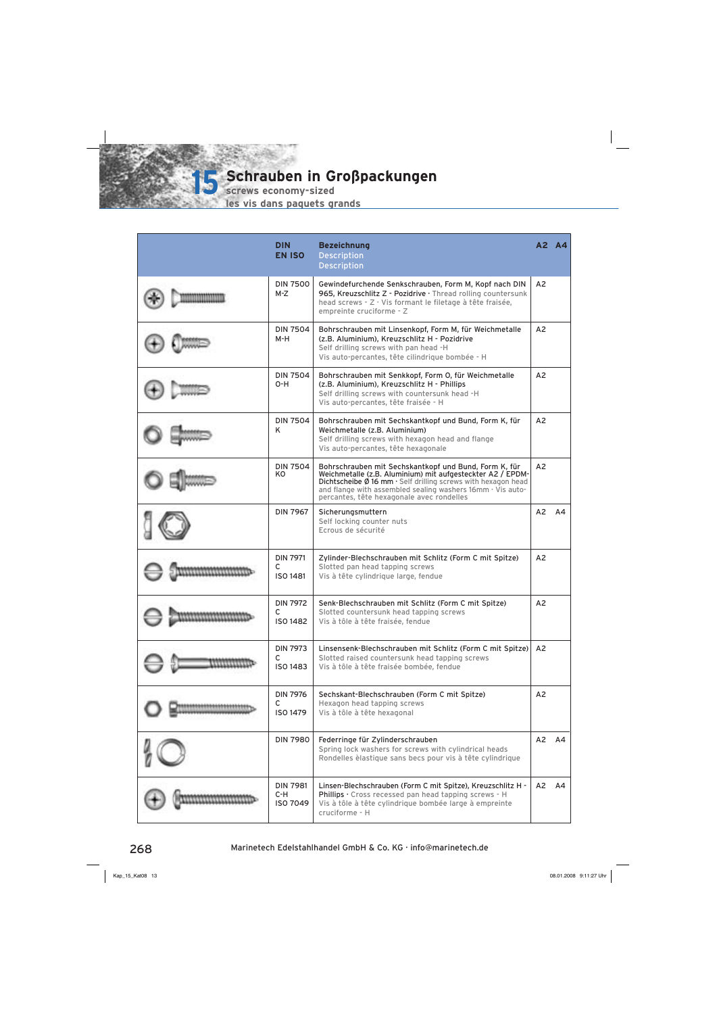

**screws economy-sized**

| <b>DIN</b><br><b>EN ISO</b>             | <b>Bezeichnung</b><br><b>Description</b><br><b>Description</b>                                                                                                                                                                                                                                                           |                | A2 A4 |
|-----------------------------------------|--------------------------------------------------------------------------------------------------------------------------------------------------------------------------------------------------------------------------------------------------------------------------------------------------------------------------|----------------|-------|
| <b>DIN 7500</b><br>M-Z                  | Gewindefurchende Senkschrauben, Form M, Kopf nach DIN<br>965, Kreuzschlitz Z - Pozidrive · Thread rolling countersunk<br>head screws - Z · Vis formant le filetage à tête fraisée,<br>empreinte cruciforme - Z                                                                                                           | A2             |       |
| <b>DIN 7504</b><br>M-H                  | Bohrschrauben mit Linsenkopf, Form M, für Weichmetalle<br>(z.B. Aluminium), Kreuzschlitz H - Pozidrive<br>Self drilling screws with pan head -H<br>Vis auto-percantes, tête cilindrique bombée - H                                                                                                                       | A2             |       |
| <b>DIN 7504</b><br>$O-H$                | Bohrschrauben mit Senkkopf, Form O, für Weichmetalle<br>(z.B. Aluminium), Kreuzschlitz H - Phillips<br>Self drilling screws with countersunk head -H<br>Vis auto-percantes, tête fraisée - H                                                                                                                             | A2             |       |
| <b>DIN 7504</b><br>Κ                    | Bohrschrauben mit Sechskantkopf und Bund, Form K, für<br>Weichmetalle (z.B. Aluminium)<br>Self drilling screws with hexagon head and flange<br>Vis auto-percantes, tête hexagonale                                                                                                                                       | A2             |       |
| <b>DIN 7504</b><br>KO                   | Bohrschrauben mit Sechskantkopf und Bund, Form K, für<br>Weichmetalle (z.B. Aluminium) mit aufgesteckter A2 / EPDM-<br>Dichtscheibe $\emptyset$ 16 mm $\cdot$ Self drilling screws with hexagon head<br>and flange with assembled sealing washers $16$ mm $\cdot$ Vis auto-<br>percantes, tête hexagonale avec rondelles | A2             |       |
| <b>DIN 7967</b>                         | Sicherungsmuttern<br>Self locking counter nuts<br>Ecrous de sécurité                                                                                                                                                                                                                                                     | A2             | A4    |
| <b>DIN 7971</b><br>С<br>ISO 1481        | Zylinder-Blechschrauben mit Schlitz (Form C mit Spitze)<br>Slotted pan head tapping screws<br>Vis à tête cylindrique large, fendue                                                                                                                                                                                       | A2             |       |
| <b>DIN 7972</b><br>C<br><b>ISO 1482</b> | Senk-Blechschrauben mit Schlitz (Form C mit Spitze)<br>Slotted countersunk head tapping screws<br>Vis à tôle à tête fraisée, fendue                                                                                                                                                                                      | A <sub>2</sub> |       |
| <b>DIN 7973</b><br>С<br>ISO 1483        | Linsensenk-Blechschrauben mit Schlitz (Form C mit Spitze)<br>Slotted raised countersunk head tapping screws<br>Vis à tôle à tête fraisée bombée, fendue                                                                                                                                                                  | A2             |       |
| <b>DIN 7976</b><br>C<br><b>ISO 1479</b> | Sechskant-Blechschrauben (Form C mit Spitze)<br>Hexagon head tapping screws<br>Vis à tôle à tête hexagonal                                                                                                                                                                                                               | A2             |       |
| <b>DIN 7980</b>                         | Federringe für Zylinderschrauben<br>Spring lock washers for screws with cylindrical heads<br>Rondelles èlastique sans becs pour vis à tête cylindrique                                                                                                                                                                   |                | A2 A4 |
| <b>DIN 7981</b><br>$C-H$<br>ISO 7049    | Linsen-Blechschrauben (Form C mit Spitze), Kreuzschlitz H -<br>Phillips · Cross recessed pan head tapping screws - H<br>Vis à tôle à tête cylindrique bombée large à empreinte<br>cruciforme - H                                                                                                                         | A2             | A4    |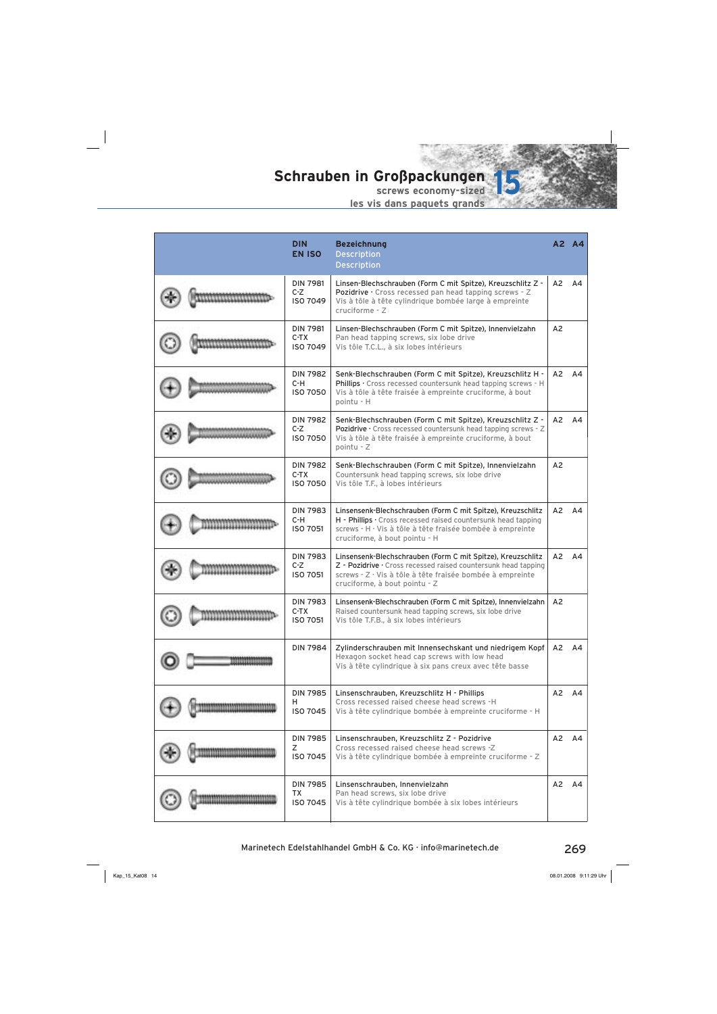

|  | <b>DIN</b><br><b>EN ISO</b>                  | <b>Bezeichnung</b><br><b>Description</b><br><b>Description</b>                                                                                                                                                              |    | A2 A4          |
|--|----------------------------------------------|-----------------------------------------------------------------------------------------------------------------------------------------------------------------------------------------------------------------------------|----|----------------|
|  | <b>DIN 7981</b><br>$C-Z$<br>ISO 7049         | Linsen-Blechschrauben (Form C mit Spitze), Kreuzschlitz Z -<br>Pozidrive · Cross recessed pan head tapping screws - Z<br>Vis à tôle à tête cylindrique bombée large à empreinte<br>cruciforme - Z                           | A2 | A <sub>4</sub> |
|  | <b>DIN 7981</b><br>$C-TX$<br><b>ISO 7049</b> | Linsen-Blechschrauben (Form C mit Spitze), Innenvielzahn<br>Pan head tapping screws, six lobe drive<br>Vis tôle T.C.L., à six lobes intérieurs                                                                              | A2 |                |
|  | <b>DIN 7982</b><br>C-H<br>ISO 7050           | Senk-Blechschrauben (Form C mit Spitze), Kreuzschlitz H -<br>Phillips · Cross recessed countersunk head tapping screws - H<br>Vis à tôle à tête fraisée à empreinte cruciforme, à bout<br>pointu - H                        | A2 | A4             |
|  | <b>DIN 7982</b><br>$C-Z$<br><b>ISO 7050</b>  | Senk-Blechschrauben (Form C mit Spitze), Kreuzschlitz Z -<br>Pozidrive · Cross recessed countersunk head tapping screws - Z<br>Vis à tôle à tête fraisée à empreinte cruciforme, à bout<br>pointu - Z                       | A2 | AA             |
|  | <b>DIN 7982</b><br>$C-TX$<br><b>ISO 7050</b> | Senk-Blechschrauben (Form C mit Spitze), Innenvielzahn<br>Countersunk head tapping screws, six lobe drive<br>Vis tôle T.F., à lobes intérieurs                                                                              | A2 |                |
|  | <b>DIN 7983</b><br>C-H<br><b>ISO 7051</b>    | Linsensenk-Blechschrauben (Form C mit Spitze), Kreuzschlitz<br>H - Phillips · Cross recessed raised countersunk head tapping<br>screws - H · Vis à tôle à tête fraisée bombée à empreinte<br>cruciforme, à bout pointu - H  | A2 | A4             |
|  | <b>DIN 7983</b><br>$C-Z$<br><b>ISO 7051</b>  | Linsensenk-Blechschrauben (Form C mit Spitze), Kreuzschlitz<br>Z - Pozidrive · Cross recessed raised countersunk head tapping<br>screws - Z · Vis à tôle à tête fraisée bombée à empreinte<br>cruciforme, à bout pointu - Z | A2 | AA             |
|  | <b>DIN 7983</b><br>$C-TX$<br><b>ISO 7051</b> | Linsensenk-Blechschrauben (Form C mit Spitze), Innenvielzahn<br>Raised countersunk head tapping screws, six lobe drive<br>Vis tôle T.F.B., à six lobes intérieurs                                                           | A2 |                |
|  | <b>DIN 7984</b>                              | Zylinderschrauben mit Innensechskant und niedrigem Kopf<br>Hexagon socket head cap screws with low head<br>Vis à tête cylindrique à six pans creux avec tête basse                                                          | A2 | A4             |
|  | <b>DIN 7985</b><br>н<br><b>ISO 7045</b>      | Linsenschrauben, Kreuzschlitz H - Phillips<br>Cross recessed raised cheese head screws -H<br>Vis à tête cylindrique bombée à empreinte cruciforme - H                                                                       | A2 | A4             |
|  | <b>DIN 7985</b><br>Ζ<br><b>ISO 7045</b>      | Linsenschrauben, Kreuzschlitz Z - Pozidrive<br>Cross recessed raised cheese head screws -Z<br>Vis à tête cylindrique bombée à empreinte cruciforme - Z                                                                      |    | A2 A4          |
|  | <b>DIN 7985</b><br>TX<br>ISO 7045            | Linsenschrauben, Innenvielzahn<br>Pan head screws, six lobe drive<br>Vis à tête cylindrique bombée à six lobes intérieurs                                                                                                   | A2 | AA             |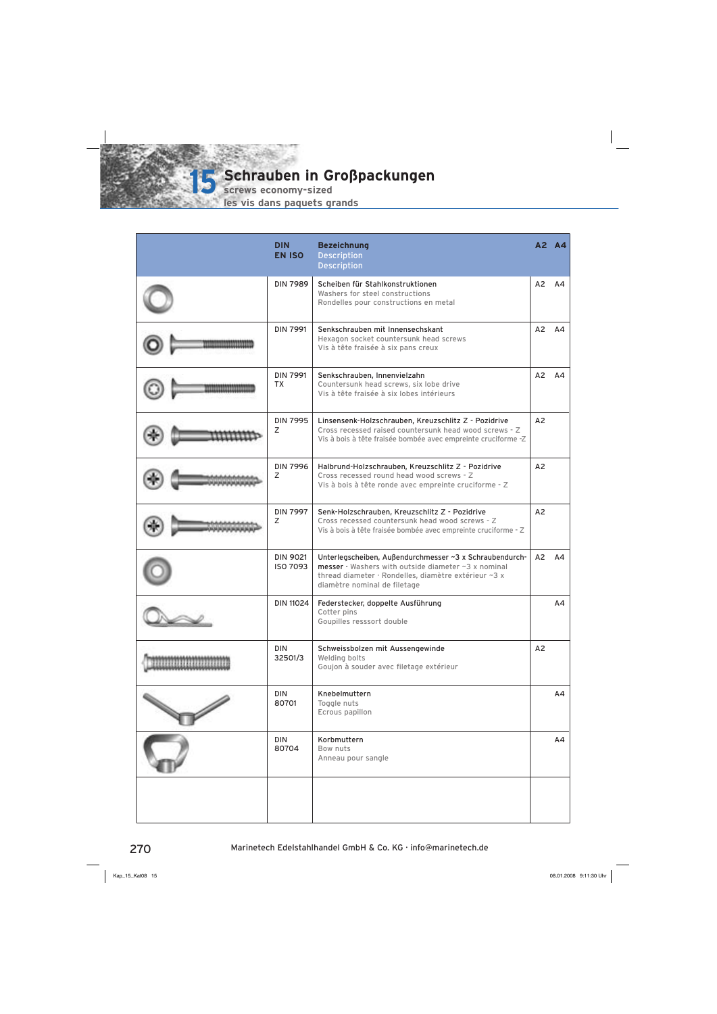

**screws economy-sized**

| <b>DIN</b><br><b>EN ISO</b>  | <b>Bezeichnung</b><br><b>Description</b><br><b>Description</b>                                                                                                                                         |                | A2 A4 |
|------------------------------|--------------------------------------------------------------------------------------------------------------------------------------------------------------------------------------------------------|----------------|-------|
| <b>DIN 7989</b>              | Scheiben für Stahlkonstruktionen<br>Washers for steel constructions<br>Rondelles pour constructions en metal                                                                                           | A2             | A4    |
| <b>DIN 7991</b>              | Senkschrauben mit Innensechskant<br>Hexagon socket countersunk head screws<br>Vis à tête fraisée à six pans creux                                                                                      | A2             | AA    |
| <b>DIN 7991</b><br><b>TX</b> | Senkschrauben, Innenvielzahn<br>Countersunk head screws, six lobe drive<br>Vis à tête fraisée à six lobes intérieurs                                                                                   | A2             | A4    |
| <b>DIN 7995</b><br>Ζ         | Linsensenk-Holzschrauben, Kreuzschlitz Z - Pozidrive<br>Cross recessed raised countersunk head wood screws - Z<br>Vis à bois à tête fraisée bombée avec empreinte cruciforme -Z                        | A2             |       |
| <b>DIN 7996</b><br>Z.        | Halbrund-Holzschrauben, Kreuzschlitz Z - Pozidrive<br>Cross recessed round head wood screws - Z<br>Vis à bois à tête ronde avec empreinte cruciforme - Z                                               | A2             |       |
| <b>DIN 7997</b><br>Z         | Senk-Holzschrauben, Kreuzschlitz Z - Pozidrive<br>Cross recessed countersunk head wood screws - Z<br>Vis à bois à tête fraisée bombée avec empreinte cruciforme - Z                                    | A2             |       |
| <b>DIN 9021</b><br>ISO 7093  | Unterlegscheiben, Außendurchmesser ~3 x Schraubendurch-<br>messer · Washers with outside diameter ~3 x nominal<br>thread diameter · Rondelles, diamètre extérieur ~3 x<br>diamètre nominal de filetage | A2             | A4    |
| <b>DIN 11024</b>             | Federstecker, doppelte Ausführung<br>Cotter pins<br>Goupilles resssort double                                                                                                                          |                | A4    |
| DIN<br>32501/3               | Schweissbolzen mit Aussengewinde<br>Welding bolts<br>Goujon à souder avec filetage extérieur                                                                                                           | A <sub>2</sub> |       |
| <b>DIN</b><br>80701          | Knebelmuttern<br>Toggle nuts<br>Ecrous papillon                                                                                                                                                        |                | A4    |
| <b>DIN</b><br>80704          | Korbmuttern<br>Bow nuts<br>Anneau pour sangle                                                                                                                                                          |                | AA    |
|                              |                                                                                                                                                                                                        |                |       |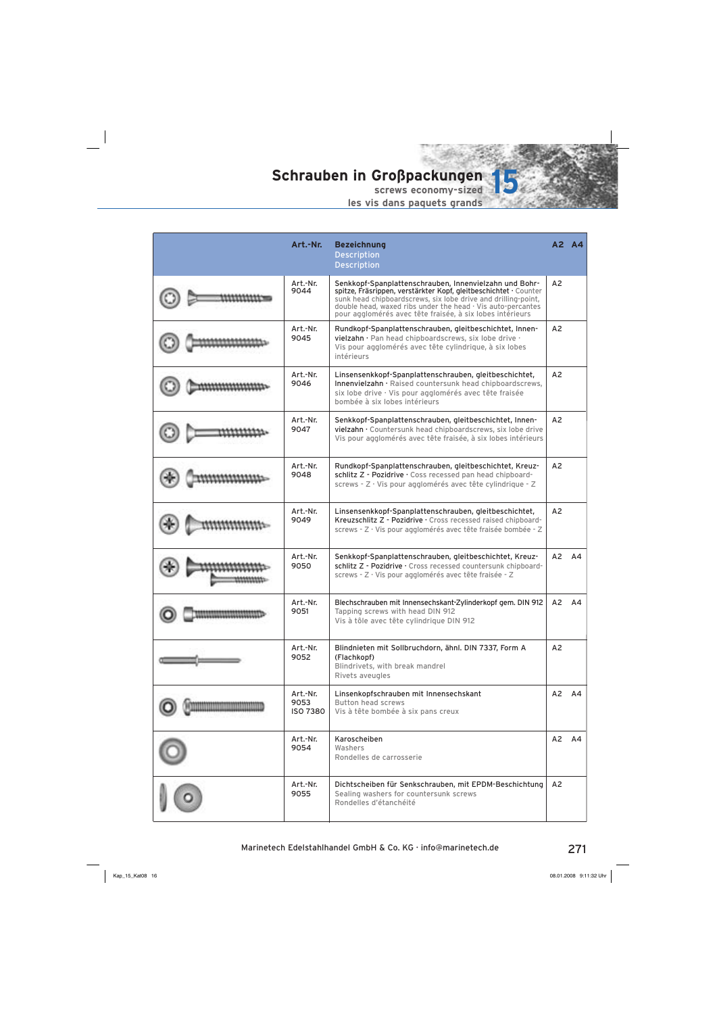

| Art.-Nr.                     | <b>Bezeichnung</b><br><b>Description</b><br><b>Description</b>                                                                                                                                                                                                                                                                |                | A2 A4          |
|------------------------------|-------------------------------------------------------------------------------------------------------------------------------------------------------------------------------------------------------------------------------------------------------------------------------------------------------------------------------|----------------|----------------|
| Art.-Nr.<br>9044             | Senkkopf-Spanplattenschrauben, Innenvielzahn und Bohr-<br>spitze, Fräsrippen, verstärkter Kopf, gleitbeschichtet · Counter<br>sunk head chipboardscrews, six lobe drive and drilling-point,<br>double head, waxed ribs under the head $\cdot$ Vis auto-percantes<br>pour agglomérés avec tête fraisée, à six lobes intérieurs | A <sub>2</sub> |                |
| Art.-Nr.<br>9045             | Rundkopf-Spanplattenschrauben, gleitbeschichtet, Innen-<br>vielzahn · Pan head chipboardscrews, six lobe drive ·<br>Vis pour agglomérés avec tête cylindrique, à six lobes<br>intérieurs                                                                                                                                      | A2             |                |
| Art.-Nr.<br>9046             | Linsensenkkopf-Spanplattenschrauben, gleitbeschichtet,<br>Innenvielzahn · Raised countersunk head chipboardscrews,<br>six lobe drive · Vis pour agglomérés avec tête fraisée<br>bombée à six lobes intérieurs                                                                                                                 | A2             |                |
| Art.-Nr.<br>9047             | Senkkopf-Spanplattenschrauben, gleitbeschichtet, Innen-<br>vielzahn · Countersunk head chipboardscrews, six lobe drive<br>Vis pour agglomérés avec tête fraisée, à six lobes intérieurs                                                                                                                                       | A2             |                |
| Art.-Nr.<br>9048             | Rundkopf-Spanplattenschrauben, gleitbeschichtet, Kreuz-<br>schlitz Z - Pozidrive · Coss recessed pan head chipboard-<br>screws - Z · Vis pour agglomérés avec tête cylindrique - Z                                                                                                                                            | A2             |                |
| Art.-Nr.<br>9049             | Linsensenkkopf-Spanplattenschrauben, gleitbeschichtet,<br>Kreuzschlitz Z - Pozidrive · Cross recessed raised chipboard-<br>screws - Z · Vis pour agglomérés avec tête fraisée bombée - Z                                                                                                                                      | A <sub>2</sub> |                |
| Art.-Nr.<br>9050             | Senkkopf-Spanplattenschrauben, gleitbeschichtet, Kreuz-<br>schlitz Z - Pozidrive · Cross recessed countersunk chipboard-<br>screws - Z · Vis pour agglomérés avec tête fraisée - Z                                                                                                                                            | A2             | A4             |
| Art.-Nr.<br>9051             | Blechschrauben mit Innensechskant-Zylinderkopf gem. DIN 912<br>Tapping screws with head DIN 912<br>Vis à tôle avec tête cylindrique DIN 912                                                                                                                                                                                   | A2             | A <sub>4</sub> |
| Art.-Nr.<br>9052             | Blindnieten mit Sollbruchdorn, ähnl. DIN 7337, Form A<br>(Flachkopf)<br>Blindrivets, with break mandrel<br>Rivets aveugles                                                                                                                                                                                                    | A2             |                |
| Art.-Nr.<br>9053<br>ISO 7380 | Linsenkopfschrauben mit Innensechskant<br><b>Button head screws</b><br>Vis à tête bombée à six pans creux                                                                                                                                                                                                                     |                | A2 A4          |
| Art.-Nr.<br>9054             | Karoscheiben<br>Washers<br>Rondelles de carrosserie                                                                                                                                                                                                                                                                           | A2             | A4             |
| Art.-Nr.<br>9055             | Dichtscheiben für Senkschrauben, mit EPDM-Beschichtung<br>Sealing washers for countersunk screws<br>Rondelles d'étanchéité                                                                                                                                                                                                    | A2             |                |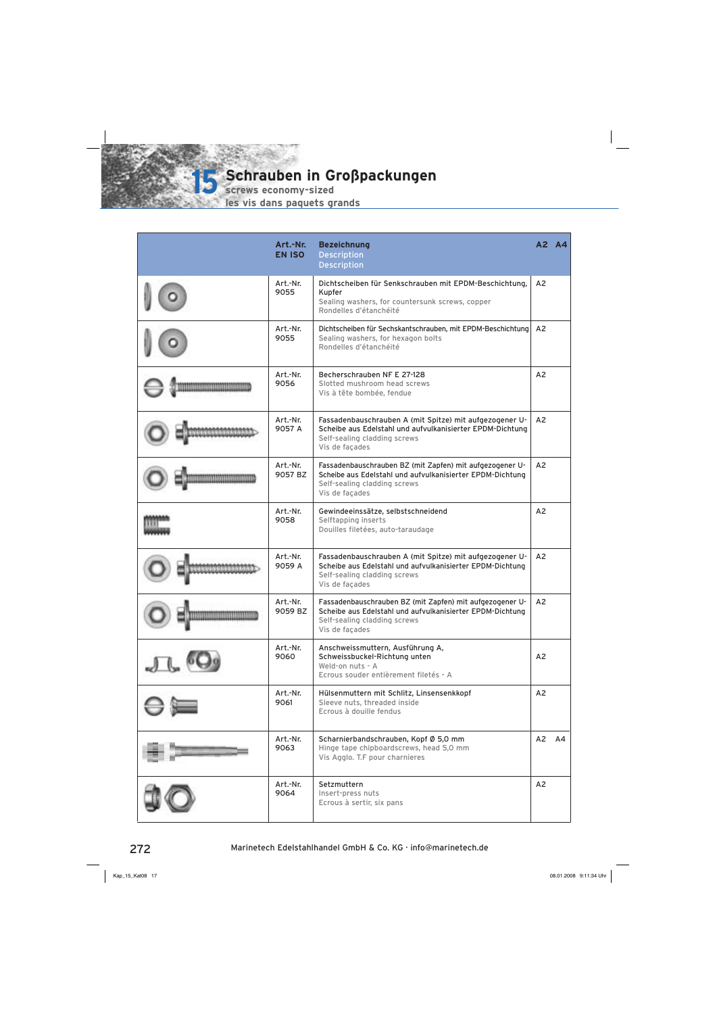**screws economy-sized**

**15**

|                              | Art.-Nr.<br><b>EN ISO</b> | <b>Bezeichnung</b><br><b>Description</b><br><b>Description</b>                                                                                                          |                | A2 A4 |
|------------------------------|---------------------------|-------------------------------------------------------------------------------------------------------------------------------------------------------------------------|----------------|-------|
|                              | Art.-Nr.<br>9055          | Dichtscheiben für Senkschrauben mit EPDM-Beschichtung,<br>Kupfer<br>Sealing washers, for countersunk screws, copper<br>Rondelles d'étanchéité                           | A2             |       |
|                              | Art.-Nr.<br>9055          | Dichtscheiben für Sechskantschrauben, mit EPDM-Beschichtung<br>Sealing washers, for hexagon bolts<br>Rondelles d'étanchéité                                             | A2             |       |
|                              | Art.-Nr.<br>9056          | Becherschrauben NF E 27-128<br>Slotted mushroom head screws<br>Vis à tête bombée, fendue                                                                                | A <sub>2</sub> |       |
|                              | Art.-Nr.<br>9057 A        | Fassadenbauschrauben A (mit Spitze) mit aufgezogener U-<br>Scheibe aus Edelstahl und aufvulkanisierter EPDM-Dichtung<br>Self-sealing cladding screws<br>Vis de façades  | A <sub>2</sub> |       |
|                              | Art.-Nr.<br>9057 BZ       | Fassadenbauschrauben BZ (mit Zapfen) mit aufgezogener U-<br>Scheibe aus Edelstahl und aufvulkanisierter EPDM-Dichtung<br>Self-sealing cladding screws<br>Vis de façades | A <sub>2</sub> |       |
|                              | Art.-Nr.<br>9058          | Gewindeeinssätze, selbstschneidend<br>Selftapping inserts<br>Douilles filetées, auto-taraudage                                                                          | A <sub>2</sub> |       |
|                              | Art.-Nr.<br>9059 A        | Fassadenbauschrauben A (mit Spitze) mit aufgezogener U-<br>Scheibe aus Edelstahl und aufvulkanisierter EPDM-Dichtung<br>Self-sealing cladding screws<br>Vis de façades  | A <sub>2</sub> |       |
| <b>WEIGHTERMATERMATERIAL</b> | Art.-Nr.<br>9059 BZ       | Fassadenbauschrauben BZ (mit Zapfen) mit aufgezogener U-<br>Scheibe aus Edelstahl und aufvulkanisierter EPDM-Dichtung<br>Self-sealing cladding screws<br>Vis de façades | A <sub>2</sub> |       |
|                              | Art.-Nr.<br>9060          | Anschweissmuttern, Ausführung A,<br>Schweissbuckel-Richtung unten<br>Weld-on nuts - A<br>Ecrous souder entièrement filetés - A                                          | A <sub>2</sub> |       |
|                              | Art.-Nr.<br>9061          | Hülsenmuttern mit Schlitz, Linsensenkkopf<br>Sleeve nuts, threaded inside<br>Ecrous à douille fendus                                                                    | A2             |       |
|                              | Art.-Nr.<br>9063          | Scharnierbandschrauben, Kopf Ø 5,0 mm<br>Hinge tape chipboardscrews, head 5,0 mm<br>Vis Agglo. T.F pour charnieres                                                      |                | A2 A4 |
|                              | Art.-Nr.<br>9064          | Setzmuttern<br>Insert-press nuts<br>Ecrous à sertir, six pans                                                                                                           | A2             |       |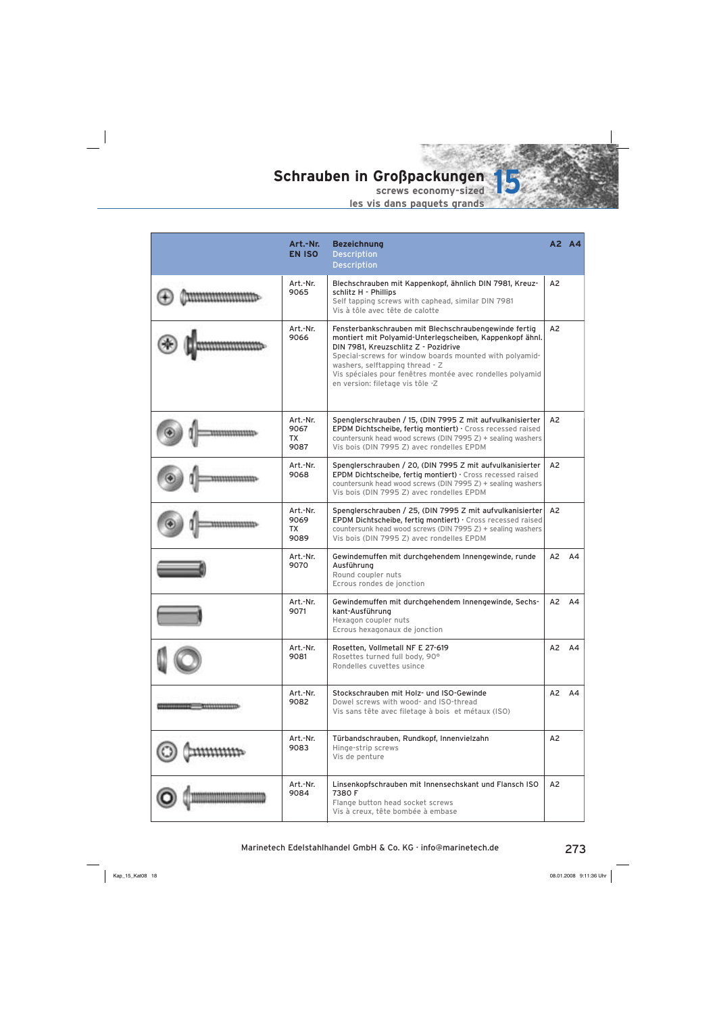

| Art.-Nr.<br><b>EN ISO</b>             | <b>Bezeichnung</b><br><b>Description</b><br><b>Description</b>                                                                                                                                                                                                                                                                                            |                | A2 A4          |
|---------------------------------------|-----------------------------------------------------------------------------------------------------------------------------------------------------------------------------------------------------------------------------------------------------------------------------------------------------------------------------------------------------------|----------------|----------------|
| Art.-Nr.<br>9065                      | Blechschrauben mit Kappenkopf, ähnlich DIN 7981, Kreuz-<br>schlitz H - Phillips<br>Self tapping screws with caphead, similar DIN 7981<br>Vis à tôle avec tête de calotte                                                                                                                                                                                  | A <sub>2</sub> |                |
| Art.-Nr.<br>9066                      | Fensterbankschrauben mit Blechschraubengewinde fertig<br>montiert mit Polyamid-Unterlegscheiben, Kappenkopf ähnl.<br>DIN 7981, Kreuzschlitz Z - Pozidrive<br>Special-screws for window boards mounted with polyamid-<br>washers, selftapping thread - Z<br>Vis spéciales pour fenêtres montée avec rondelles polyamid<br>en version: filetage vis tôle -Z | A2             |                |
| Art.-Nr.<br>9067<br>ТX<br>9087        | Spenglerschrauben / 15, (DIN 7995 Z mit aufvulkanisierter<br>EPDM Dichtscheibe, fertig montiert) · Cross recessed raised<br>countersunk head wood screws (DIN 7995 Z) + sealing washers<br>Vis bois (DIN 7995 Z) avec rondelles EPDM                                                                                                                      | A2             |                |
| Art.-Nr.<br>9068                      | Spenglerschrauben / 20, (DIN 7995 Z mit aufvulkanisierter<br>EPDM Dichtscheibe, fertig montiert) · Cross recessed raised<br>countersunk head wood screws (DIN 7995 Z) + sealing washers<br>Vis bois (DIN 7995 Z) avec rondelles EPDM                                                                                                                      | A <sub>2</sub> |                |
| Art.-Nr.<br>9069<br><b>TX</b><br>9089 | Spenglerschrauben / 25, (DIN 7995 Z mit aufvulkanisierter<br>EPDM Dichtscheibe, fertig montiert) · Cross recessed raised<br>countersunk head wood screws (DIN 7995 Z) + sealing washers<br>Vis bois (DIN 7995 Z) avec rondelles EPDM                                                                                                                      | A <sub>2</sub> |                |
| Art.-Nr.<br>9070                      | Gewindemuffen mit durchgehendem Innengewinde, runde<br>Ausführung<br>Round coupler nuts<br>Ecrous rondes de jonction                                                                                                                                                                                                                                      | A2             | A4             |
| Art.-Nr.<br>9071                      | Gewindemuffen mit durchgehendem Innengewinde, Sechs-<br>kant-Ausführung<br>Hexagon coupler nuts<br>Ecrous hexagonaux de jonction                                                                                                                                                                                                                          | A2             | A <sub>4</sub> |
| Art.-Nr.<br>9081                      | Rosetten, Vollmetall NF E 27-619<br>Rosettes turned full body, 90°<br>Rondelles cuvettes usince                                                                                                                                                                                                                                                           | A2             | A4             |
| Art.-Nr.<br>9082                      | Stockschrauben mit Holz- und ISO-Gewinde<br>Dowel screws with wood- and ISO-thread<br>Vis sans tête avec filetage à bois et métaux (ISO)                                                                                                                                                                                                                  | A2             | A4             |
| Art.-Nr.<br>9083                      | Türbandschrauben, Rundkopf, Innenvielzahn<br>Hinge-strip screws<br>Vis de penture                                                                                                                                                                                                                                                                         | A2             |                |
| Art.-Nr.<br>9084                      | Linsenkopfschrauben mit Innensechskant und Flansch ISO<br>7380 F<br>Flange button head socket screws<br>Vis à creux, tête bombée à embase                                                                                                                                                                                                                 | A <sub>2</sub> |                |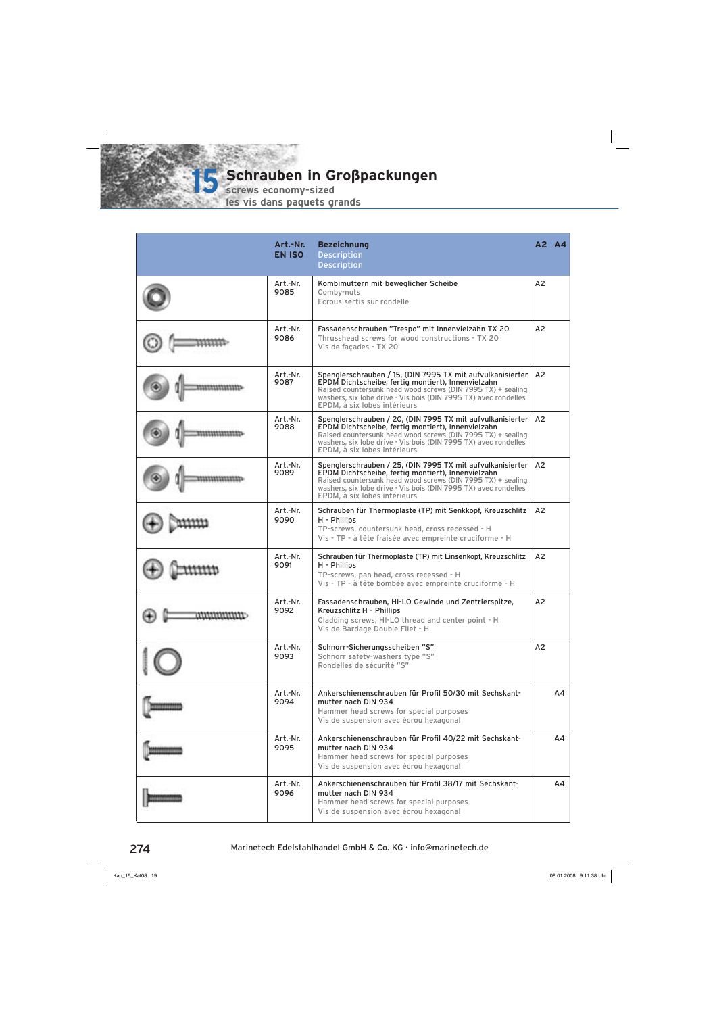**screws economy-sized**

**15**

| Art.-Nr.<br><b>EN ISO</b> | <b>Bezeichnung</b><br><b>Description</b><br><b>Description</b>                                                                                                                                                                                                                           |                | A2 A4 |
|---------------------------|------------------------------------------------------------------------------------------------------------------------------------------------------------------------------------------------------------------------------------------------------------------------------------------|----------------|-------|
| Art.-Nr.<br>9085          | Kombimuttern mit beweglicher Scheibe<br>Comby-nuts<br>Ecrous sertis sur rondelle                                                                                                                                                                                                         | A <sub>2</sub> |       |
| Art.-Nr.<br>9086          | Fassadenschrauben "Trespo" mit Innenvielzahn TX 20<br>Thrusshead screws for wood constructions - TX 20<br>Vis de facades - TX 20                                                                                                                                                         | A <sub>2</sub> |       |
| Art.-Nr.<br>9087          | Spenglerschrauben / 15, (DIN 7995 TX mit aufvulkanisierter<br>EPDM Dichtscheibe, fertig montiert), Innenvielzahn<br>Raised countersunk head wood screws (DIN 7995 TX) + sealing<br>washers, six lobe drive · Vis bois (DIN 7995 TX) avec rondelles<br>EPDM, à six lobes intérieurs       | A2             |       |
| Art.-Nr.<br>9088          | Spenglerschrauben / 20, (DIN 7995 TX mit aufvulkanisierter<br>EPDM Dichtscheibe, fertig montiert), Innenvielzahn<br>Raised countersunk head wood screws (DIN 7995 TX) + sealing<br>washers, six lobe drive $\cdot$ Vis bois (DIN 7995 TX) avec rondelles<br>EPDM, à six lobes intérieurs | A2             |       |
| Art.-Nr.<br>9089          | Spenglerschrauben / 25, (DIN 7995 TX mit aufvulkanisierter<br>EPDM Dichtscheibe, fertig montiert), Innenvielzahn<br>Raised countersunk head wood screws (DIN 7995 TX) + sealing<br>washers, six lobe drive $\cdot$ Vis bois (DIN 7995 TX) avec rondelles<br>EPDM, à six lobes intérieurs | A2             |       |
| Art.-Nr.<br>9090          | Schrauben für Thermoplaste (TP) mit Senkkopf, Kreuzschlitz<br>H - Phillips<br>TP-screws, countersunk head, cross recessed - H<br>Vis - TP - à tête fraisée avec empreinte cruciforme - H                                                                                                 | A2             |       |
| Art.-Nr.<br>9091          | Schrauben für Thermoplaste (TP) mit Linsenkopf, Kreuzschlitz<br>H - Phillips<br>TP-screws, pan head, cross recessed - H<br>Vis - TP - à tête bombée avec empreinte cruciforme - H                                                                                                        | A <sub>2</sub> |       |
| Art.-Nr.<br>9092          | Fassadenschrauben, HI-LO Gewinde und Zentrierspitze,<br>Kreuzschlitz H - Phillips<br>Cladding screws, HI-LO thread and center point - H<br>Vis de Bardage Double Filet - H                                                                                                               | A <sub>2</sub> |       |
| Art.-Nr.<br>9093          | Schnorr-Sicherungsscheiben "S"<br>Schnorr safety-washers type "S"<br>Rondelles de sécurité "S"                                                                                                                                                                                           | A2             |       |
| Art.-Nr.<br>9094          | Ankerschienenschrauben für Profil 50/30 mit Sechskant-<br>mutter nach DIN 934<br>Hammer head screws for special purposes<br>Vis de suspension avec écrou hexagonal                                                                                                                       |                | AA    |
| Art.-Nr.<br>9095          | Ankerschienenschrauben für Profil 40/22 mit Sechskant-<br>mutter nach DIN 934<br>Hammer head screws for special purposes<br>Vis de suspension avec écrou hexagonal                                                                                                                       |                | А4    |
| Art.-Nr.<br>9096          | Ankerschienenschrauben für Profil 38/17 mit Sechskant-<br>mutter nach DIN 934<br>Hammer head screws for special purposes<br>Vis de suspension avec écrou hexagonal                                                                                                                       |                | А4    |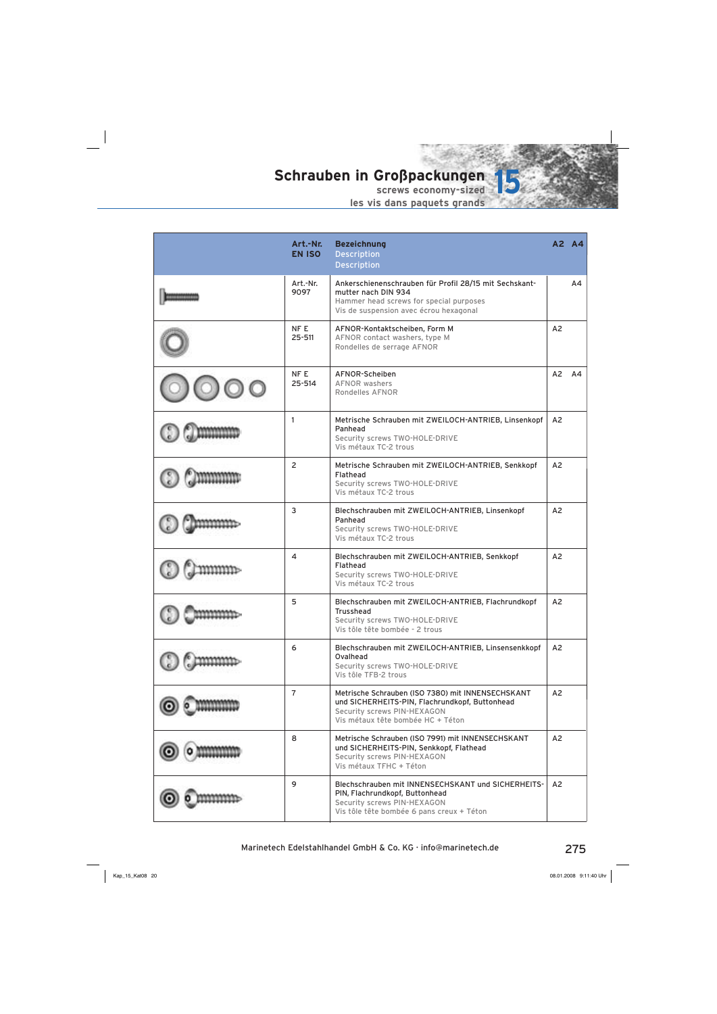

| Art.-Nr.<br><b>EN ISO</b> | <b>Bezeichnung</b><br><b>Description</b><br><b>Description</b>                                                                                                          | A2 A4          |    |
|---------------------------|-------------------------------------------------------------------------------------------------------------------------------------------------------------------------|----------------|----|
| Art.-Nr.<br>9097          | Ankerschienenschrauben für Profil 28/15 mit Sechskant-<br>mutter nach DIN 934<br>Hammer head screws for special purposes<br>Vis de suspension avec écrou hexagonal      |                | AA |
| NF E<br>$25 - 511$        | AFNOR-Kontaktscheiben, Form M<br>AFNOR contact washers, type M<br>Rondelles de serrage AFNOR                                                                            | A2             |    |
| NF E<br>25-514            | AFNOR-Scheiben<br><b>AFNOR washers</b><br>Rondelles AFNOR                                                                                                               | A2             | A4 |
| $\mathbf{1}$              | Metrische Schrauben mit ZWEILOCH-ANTRIEB, Linsenkopf<br>Panhead<br>Security screws TWO-HOLE-DRIVE<br>Vis métaux TC-2 trous                                              | A <sub>2</sub> |    |
| $\overline{2}$            | Metrische Schrauben mit ZWEILOCH-ANTRIEB, Senkkopf<br>Flathead<br>Security screws TWO-HOLE-DRIVE<br>Vis métaux TC-2 trous                                               | A <sub>2</sub> |    |
| 3                         | Blechschrauben mit ZWEILOCH-ANTRIEB, Linsenkopf<br>Panhead<br>Security screws TWO-HOLE-DRIVE<br>Vis métaux TC-2 trous                                                   | A2             |    |
| 4                         | Blechschrauben mit ZWEILOCH-ANTRIEB, Senkkopf<br>Flathead<br>Security screws TWO-HOLE-DRIVE<br>Vis métaux TC-2 trous                                                    | A <sub>2</sub> |    |
| 5                         | Blechschrauben mit ZWEILOCH-ANTRIEB, Flachrundkopf<br><b>Trusshead</b><br>Security screws TWO-HOLE-DRIVE<br>Vis tôle tête bombée - 2 trous                              | A <sub>2</sub> |    |
| 6                         | Blechschrauben mit ZWEILOCH-ANTRIEB, Linsensenkkopf<br>Ovalhead<br>Security screws TWO-HOLE-DRIVE<br>Vis tôle TFB-2 trous                                               | A2             |    |
| $\overline{7}$            | Metrische Schrauben (ISO 7380) mit INNENSECHSKANT<br>und SICHERHEITS-PIN, Flachrundkopf, Buttonhead<br>Security screws PIN-HEXAGON<br>Vis métaux tête bombée HC + Téton | A2             |    |
| 8                         | Metrische Schrauben (ISO 7991) mit INNENSECHSKANT<br>und SICHERHEITS-PIN, Senkkopf, Flathead<br>Security screws PIN-HEXAGON<br>Vis métaux TFHC + Téton                  | A2             |    |
| 9                         | Blechschrauben mit INNENSECHSKANT und SICHERHEITS-<br>PIN, Flachrundkopf, Buttonhead<br>Security screws PIN-HEXAGON<br>Vis tôle tête bombée 6 pans creux + Téton        | A2             |    |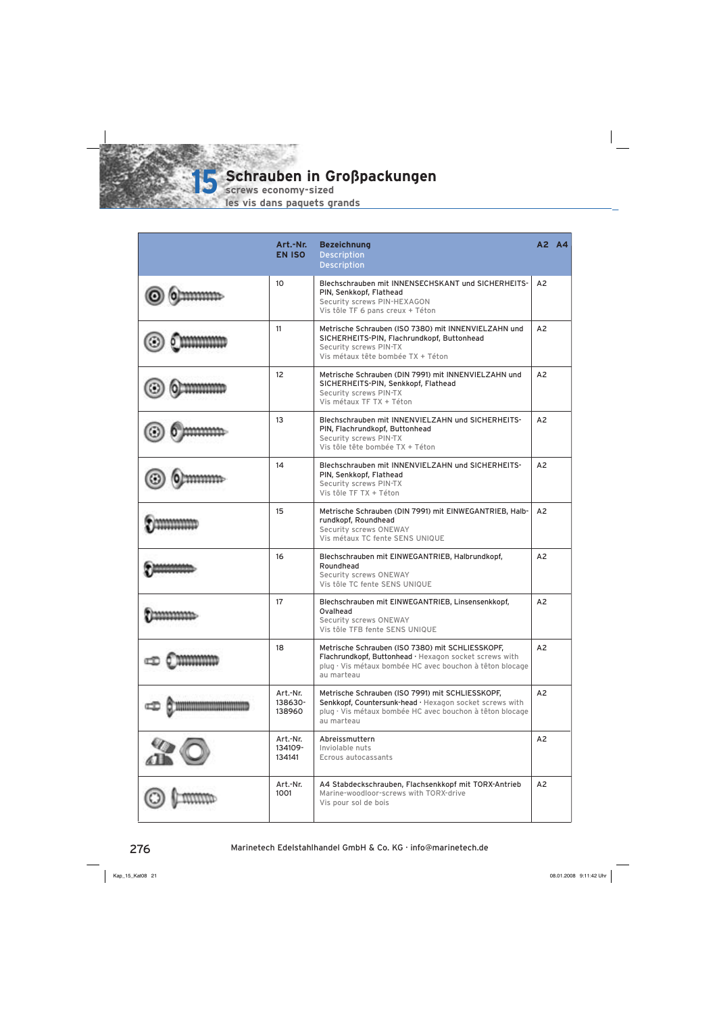

**screws economy-sized**

| Art.-Nr.<br><b>EN ISO</b>     | <b>Bezeichnung</b><br><b>Description</b><br><b>Description</b>                                                                                                                        |                | A2 A4 |
|-------------------------------|---------------------------------------------------------------------------------------------------------------------------------------------------------------------------------------|----------------|-------|
| 10 <sup>10</sup>              | Blechschrauben mit INNENSECHSKANT und SICHERHEITS-<br>PIN, Senkkopf, Flathead<br>Security screws PIN-HEXAGON<br>Vis tôle TF 6 pans creux + Téton                                      | A <sub>2</sub> |       |
| 11                            | Metrische Schrauben (ISO 7380) mit INNENVIELZAHN und<br>SICHERHEITS-PIN, Flachrundkopf, Buttonhead<br>Security screws PIN-TX<br>Vis métaux tête bombée TX + Téton                     | A2             |       |
| 12                            | Metrische Schrauben (DIN 7991) mit INNENVIELZAHN und<br>SICHERHEITS-PIN, Senkkopf, Flathead<br>Security screws PIN-TX<br>Vis métaux TF TX + Téton                                     | A <sub>2</sub> |       |
| 13                            | Blechschrauben mit INNENVIELZAHN und SICHERHEITS-<br>PIN, Flachrundkopf, Buttonhead<br>Security screws PIN-TX<br>Vis tôle tête bombée TX + Téton                                      | A2             |       |
| 14                            | Blechschrauben mit INNENVIELZAHN und SICHERHEITS-<br>PIN, Senkkopf, Flathead<br>Security screws PIN-TX<br>Vis tôle TF TX + Téton                                                      | A <sub>2</sub> |       |
| 15                            | Metrische Schrauben (DIN 7991) mit EINWEGANTRIEB, Halb-<br>rundkopf, Roundhead<br>Security screws ONEWAY<br>Vis métaux TC fente SENS UNIQUE                                           | A <sub>2</sub> |       |
| 16                            | Blechschrauben mit EINWEGANTRIEB, Halbrundkopf,<br>Roundhead<br><b>Security screws ONEWAY</b><br>Vis tôle TC fente SENS UNIQUE                                                        | A2             |       |
| 17                            | Blechschrauben mit EINWEGANTRIEB, Linsensenkkopf,<br>Ovalhead<br>Security screws ONEWAY<br>Vis tôle TFB fente SENS UNIQUE                                                             | A <sub>2</sub> |       |
| 18                            | Metrische Schrauben (ISO 7380) mit SCHLIESSKOPF,<br>Flachrundkopf, Buttonhead · Hexagon socket screws with<br>plug · Vis métaux bombée HC avec bouchon à têton blocage<br>au marteau  | A2             |       |
| Art.-Nr.<br>138630-<br>138960 | Metrische Schrauben (ISO 7991) mit SCHLIESSKOPF,<br>Senkkopf, Countersunk-head · Hexagon socket screws with<br>plug · Vis métaux bombée HC avec bouchon à têton blocage<br>au marteau | A2             |       |
| Art.-Nr.<br>134109-<br>134141 | Abreissmuttern<br>Inviolable nuts<br>Ecrous autocassants                                                                                                                              | A2             |       |
| Art.-Nr.<br>1001              | A4 Stabdeckschrauben, Flachsenkkopf mit TORX-Antrieb<br>Marine-woodloor-screws with TORX-drive<br>Vis pour sol de bois                                                                | A2             |       |